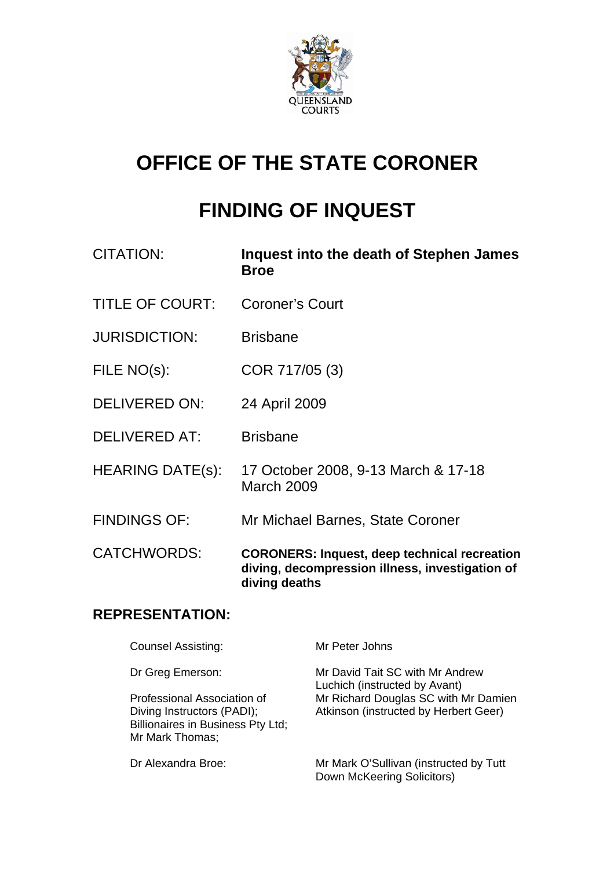

# **OFFICE OF THE STATE CORONER**

# **FINDING OF INQUEST**

| CITATION:               | Inquest into the death of Stephen James<br><b>Broe</b>                                                                  |
|-------------------------|-------------------------------------------------------------------------------------------------------------------------|
| <b>TITLE OF COURT:</b>  | <b>Coroner's Court</b>                                                                                                  |
| <b>JURISDICTION:</b>    | <b>Brisbane</b>                                                                                                         |
| FILE NO(s):             | COR 717/05 (3)                                                                                                          |
| <b>DELIVERED ON:</b>    | 24 April 2009                                                                                                           |
| <b>DELIVERED AT:</b>    | <b>Brisbane</b>                                                                                                         |
| <b>HEARING DATE(s):</b> | 17 October 2008, 9-13 March & 17-18<br>March 2009                                                                       |
| <b>FINDINGS OF:</b>     | Mr Michael Barnes, State Coroner                                                                                        |
| <b>CATCHWORDS:</b>      | <b>CORONERS: Inquest, deep technical recreation</b><br>diving, decompression illness, investigation of<br>diving deaths |

# **REPRESENTATION:**

| <b>Counsel Assisting:</b>                                                                                         | Mr Peter Johns                                                                |  |  |  |
|-------------------------------------------------------------------------------------------------------------------|-------------------------------------------------------------------------------|--|--|--|
| Dr Greg Emerson:                                                                                                  | Mr David Tait SC with Mr Andrew<br>Luchich (instructed by Avant)              |  |  |  |
| Professional Association of<br>Diving Instructors (PADI);<br>Billionaires in Business Pty Ltd;<br>Mr Mark Thomas; | Mr Richard Douglas SC with Mr Damien<br>Atkinson (instructed by Herbert Geer) |  |  |  |
| Dr Alexandra Broe:                                                                                                | Mr Mark O'Sullivan (instructed by Tutt<br>Down McKeering Solicitors)          |  |  |  |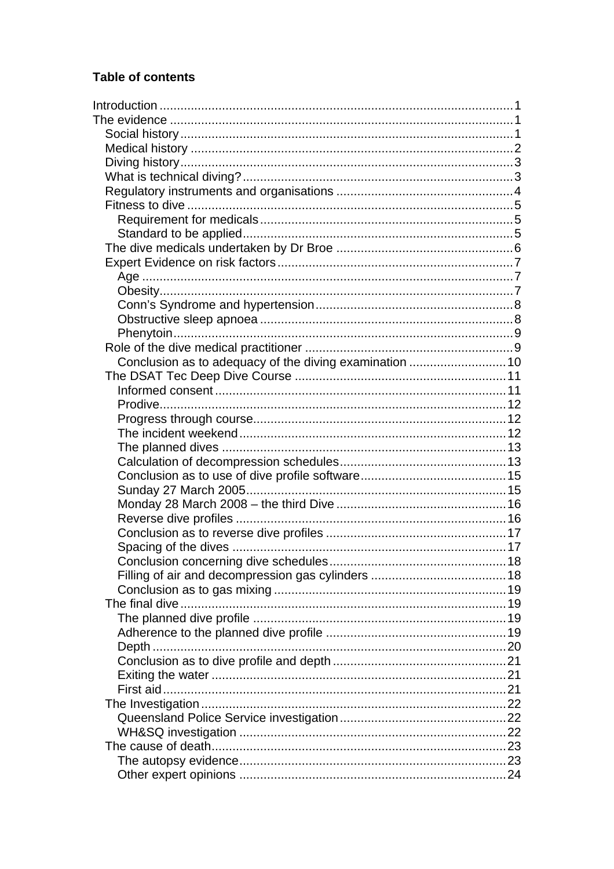# **Table of contents**

| Conclusion as to adequacy of the diving examination  10 |  |
|---------------------------------------------------------|--|
|                                                         |  |
|                                                         |  |
|                                                         |  |
|                                                         |  |
|                                                         |  |
|                                                         |  |
|                                                         |  |
|                                                         |  |
|                                                         |  |
|                                                         |  |
|                                                         |  |
|                                                         |  |
|                                                         |  |
|                                                         |  |
|                                                         |  |
|                                                         |  |
|                                                         |  |
|                                                         |  |
|                                                         |  |
|                                                         |  |
|                                                         |  |
|                                                         |  |
|                                                         |  |
|                                                         |  |
|                                                         |  |
|                                                         |  |
|                                                         |  |
|                                                         |  |
|                                                         |  |
|                                                         |  |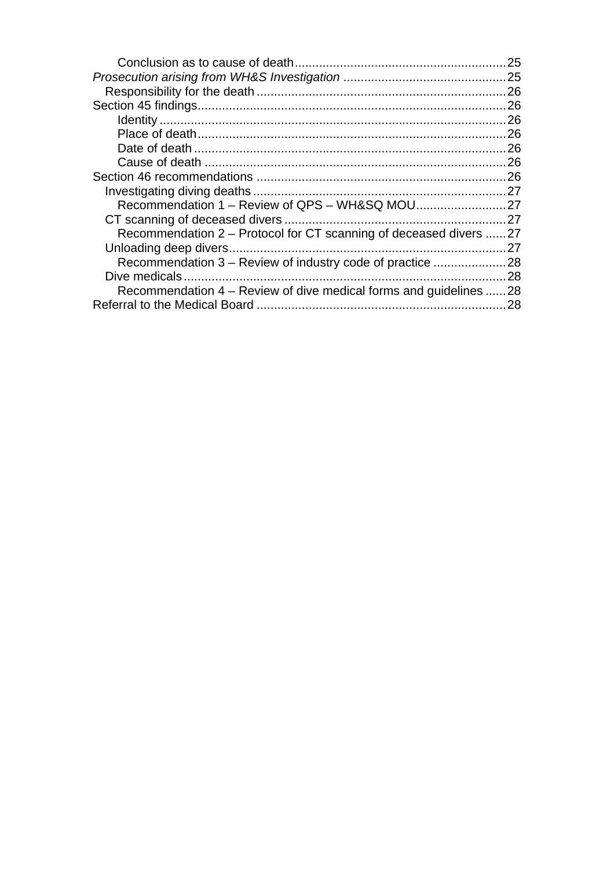|                                                                   | 25  |
|-------------------------------------------------------------------|-----|
|                                                                   | 25  |
|                                                                   | 26  |
|                                                                   | 26  |
|                                                                   | 26  |
|                                                                   | 26  |
|                                                                   | 26  |
|                                                                   | 26  |
|                                                                   | 26  |
|                                                                   |     |
|                                                                   |     |
|                                                                   |     |
| Recommendation 2 – Protocol for CT scanning of deceased divers 27 |     |
|                                                                   | 27  |
| Recommendation 3 – Review of industry code of practice            | .28 |
|                                                                   | 28  |
| Recommendation 4 – Review of dive medical forms and guidelines    | 28  |
|                                                                   | 28  |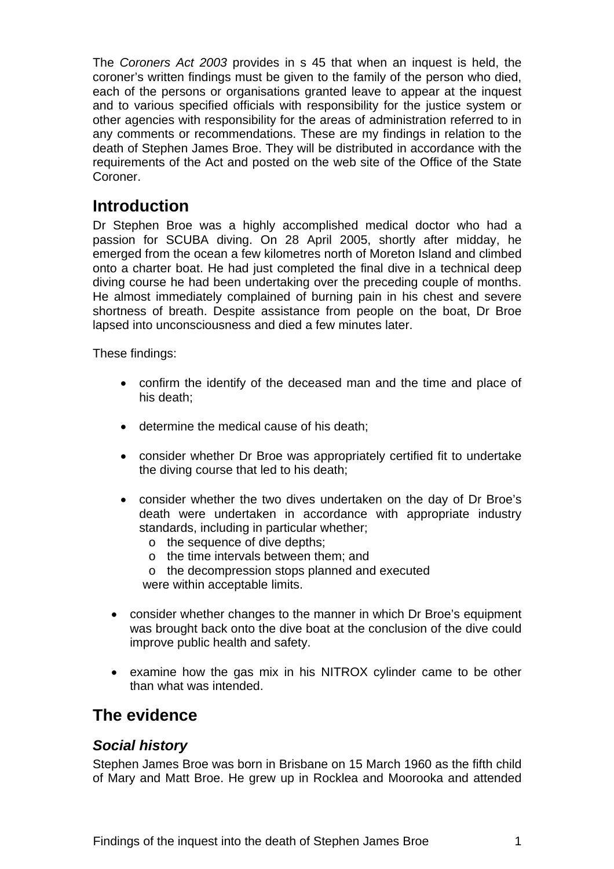<span id="page-3-0"></span>The *Coroners Act 2003* provides in s 45 that when an inquest is held, the coroner's written findings must be given to the family of the person who died, each of the persons or organisations granted leave to appear at the inquest and to various specified officials with responsibility for the justice system or other agencies with responsibility for the areas of administration referred to in any comments or recommendations. These are my findings in relation to the death of Stephen James Broe. They will be distributed in accordance with the requirements of the Act and posted on the web site of the Office of the State Coroner.

# **Introduction**

Dr Stephen Broe was a highly accomplished medical doctor who had a passion for SCUBA diving. On 28 April 2005, shortly after midday, he emerged from the ocean a few kilometres north of Moreton Island and climbed onto a charter boat. He had just completed the final dive in a technical deep diving course he had been undertaking over the preceding couple of months. He almost immediately complained of burning pain in his chest and severe shortness of breath. Despite assistance from people on the boat, Dr Broe lapsed into unconsciousness and died a few minutes later.

These findings:

- confirm the identify of the deceased man and the time and place of his death;
- determine the medical cause of his death;
- consider whether Dr Broe was appropriately certified fit to undertake the diving course that led to his death;
- consider whether the two dives undertaken on the day of Dr Broe's death were undertaken in accordance with appropriate industry standards, including in particular whether;
	- o the sequence of dive depths;
	- o the time intervals between them; and
	- o the decompression stops planned and executed were within acceptable limits.
- consider whether changes to the manner in which Dr Broe's equipment was brought back onto the dive boat at the conclusion of the dive could improve public health and safety.
- examine how the gas mix in his NITROX cylinder came to be other than what was intended.

# **The evidence**

# *Social history*

Stephen James Broe was born in Brisbane on 15 March 1960 as the fifth child of Mary and Matt Broe. He grew up in Rocklea and Moorooka and attended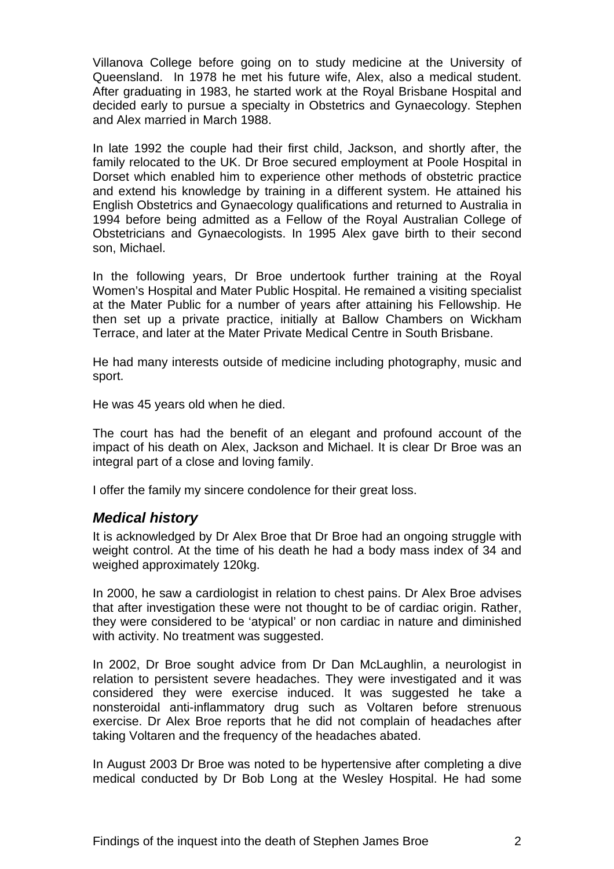<span id="page-4-0"></span>Villanova College before going on to study medicine at the University of Queensland. In 1978 he met his future wife, Alex, also a medical student. After graduating in 1983, he started work at the Royal Brisbane Hospital and decided early to pursue a specialty in Obstetrics and Gynaecology. Stephen and Alex married in March 1988.

In late 1992 the couple had their first child, Jackson, and shortly after, the family relocated to the UK. Dr Broe secured employment at Poole Hospital in Dorset which enabled him to experience other methods of obstetric practice and extend his knowledge by training in a different system. He attained his English Obstetrics and Gynaecology qualifications and returned to Australia in 1994 before being admitted as a Fellow of the Royal Australian College of Obstetricians and Gynaecologists. In 1995 Alex gave birth to their second son, Michael.

In the following years, Dr Broe undertook further training at the Royal Women's Hospital and Mater Public Hospital. He remained a visiting specialist at the Mater Public for a number of years after attaining his Fellowship. He then set up a private practice, initially at Ballow Chambers on Wickham Terrace, and later at the Mater Private Medical Centre in South Brisbane.

He had many interests outside of medicine including photography, music and sport.

He was 45 years old when he died.

The court has had the benefit of an elegant and profound account of the impact of his death on Alex, Jackson and Michael. It is clear Dr Broe was an integral part of a close and loving family.

I offer the family my sincere condolence for their great loss.

#### *Medical history*

It is acknowledged by Dr Alex Broe that Dr Broe had an ongoing struggle with weight control. At the time of his death he had a body mass index of 34 and weighed approximately 120kg.

In 2000, he saw a cardiologist in relation to chest pains. Dr Alex Broe advises that after investigation these were not thought to be of cardiac origin. Rather, they were considered to be 'atypical' or non cardiac in nature and diminished with activity. No treatment was suggested.

In 2002, Dr Broe sought advice from Dr Dan McLaughlin, a neurologist in relation to persistent severe headaches. They were investigated and it was considered they were exercise induced. It was suggested he take a nonsteroidal anti-inflammatory drug such as Voltaren before strenuous exercise. Dr Alex Broe reports that he did not complain of headaches after taking Voltaren and the frequency of the headaches abated.

In August 2003 Dr Broe was noted to be hypertensive after completing a dive medical conducted by Dr Bob Long at the Wesley Hospital. He had some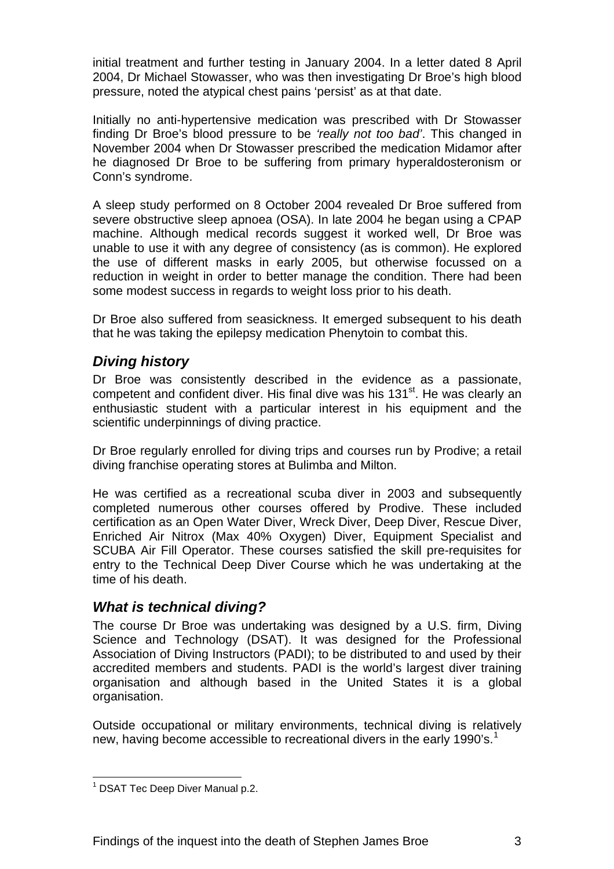<span id="page-5-0"></span>initial treatment and further testing in January 2004. In a letter dated 8 April 2004, Dr Michael Stowasser, who was then investigating Dr Broe's high blood pressure, noted the atypical chest pains 'persist' as at that date.

Initially no anti-hypertensive medication was prescribed with Dr Stowasser finding Dr Broe's blood pressure to be *'really not too bad'*. This changed in November 2004 when Dr Stowasser prescribed the medication Midamor after he diagnosed Dr Broe to be suffering from primary hyperaldosteronism or Conn's syndrome.

A sleep study performed on 8 October 2004 revealed Dr Broe suffered from severe obstructive sleep apnoea (OSA). In late 2004 he began using a CPAP machine. Although medical records suggest it worked well, Dr Broe was unable to use it with any degree of consistency (as is common). He explored the use of different masks in early 2005, but otherwise focussed on a reduction in weight in order to better manage the condition. There had been some modest success in regards to weight loss prior to his death.

Dr Broe also suffered from seasickness. It emerged subsequent to his death that he was taking the epilepsy medication Phenytoin to combat this.

# *Diving history*

Dr Broe was consistently described in the evidence as a passionate, competent and confident diver. His final dive was his 131<sup>st</sup>. He was clearly an enthusiastic student with a particular interest in his equipment and the scientific underpinnings of diving practice.

Dr Broe regularly enrolled for diving trips and courses run by Prodive; a retail diving franchise operating stores at Bulimba and Milton.

He was certified as a recreational scuba diver in 2003 and subsequently completed numerous other courses offered by Prodive. These included certification as an Open Water Diver, Wreck Diver, Deep Diver, Rescue Diver, Enriched Air Nitrox (Max 40% Oxygen) Diver, Equipment Specialist and SCUBA Air Fill Operator. These courses satisfied the skill pre-requisites for entry to the Technical Deep Diver Course which he was undertaking at the time of his death.

# *What is technical diving?*

The course Dr Broe was undertaking was designed by a U.S. firm, Diving Science and Technology (DSAT). It was designed for the Professional Association of Diving Instructors (PADI); to be distributed to and used by their accredited members and students. PADI is the world's largest diver training organisation and although based in the United States it is a global organisation.

Outside occupational or military environments, technical diving is relatively new, having become accessible to recreational divers in the early [1](#page-5-1)990's.<sup>1</sup>

<span id="page-5-1"></span> 1 DSAT Tec Deep Diver Manual p.2.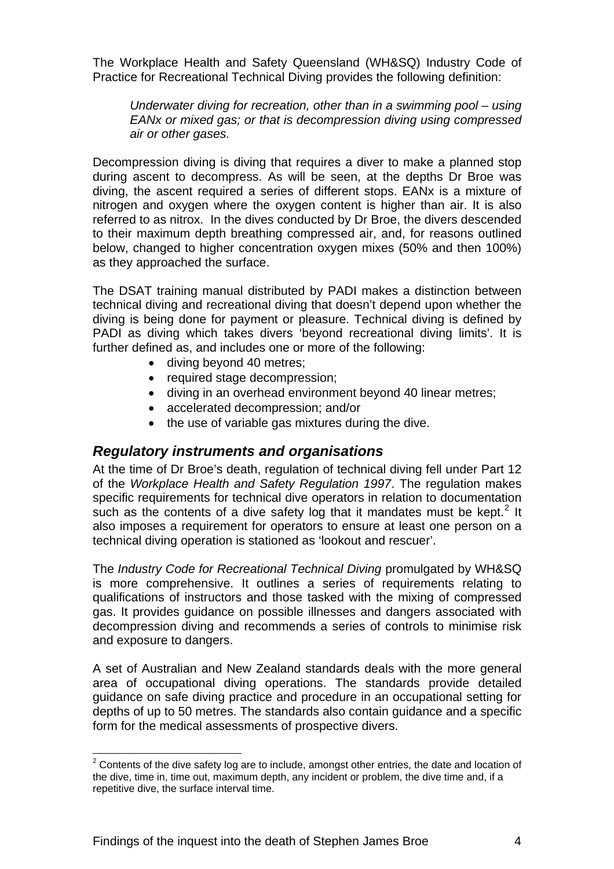<span id="page-6-0"></span>The Workplace Health and Safety Queensland (WH&SQ) Industry Code of Practice for Recreational Technical Diving provides the following definition:

*Underwater diving for recreation, other than in a swimming pool – using EANx or mixed gas; or that is decompression diving using compressed air or other gases.* 

Decompression diving is diving that requires a diver to make a planned stop during ascent to decompress. As will be seen, at the depths Dr Broe was diving, the ascent required a series of different stops. EANx is a mixture of nitrogen and oxygen where the oxygen content is higher than air. It is also referred to as nitrox. In the dives conducted by Dr Broe, the divers descended to their maximum depth breathing compressed air, and, for reasons outlined below, changed to higher concentration oxygen mixes (50% and then 100%) as they approached the surface.

The DSAT training manual distributed by PADI makes a distinction between technical diving and recreational diving that doesn't depend upon whether the diving is being done for payment or pleasure. Technical diving is defined by PADI as diving which takes divers 'beyond recreational diving limits'. It is further defined as, and includes one or more of the following:

- diving beyond 40 metres;
- required stage decompression;
- diving in an overhead environment beyond 40 linear metres;
- accelerated decompression; and/or
- the use of variable gas mixtures during the dive.

#### *Regulatory instruments and organisations*

At the time of Dr Broe's death, regulation of technical diving fell under Part 12 of the *Workplace Health and Safety Regulation 1997*. The regulation makes specific requirements for technical dive operators in relation to documentation such as the contents of a dive safety log that it mandates must be kept.<sup>[2](#page-6-1)</sup> It also imposes a requirement for operators to ensure at least one person on a technical diving operation is stationed as 'lookout and rescuer'.

The *Industry Code for Recreational Technical Diving* promulgated by WH&SQ is more comprehensive. It outlines a series of requirements relating to qualifications of instructors and those tasked with the mixing of compressed gas. It provides guidance on possible illnesses and dangers associated with decompression diving and recommends a series of controls to minimise risk and exposure to dangers.

A set of Australian and New Zealand standards deals with the more general area of occupational diving operations. The standards provide detailed guidance on safe diving practice and procedure in an occupational setting for depths of up to 50 metres. The standards also contain guidance and a specific form for the medical assessments of prospective divers.

<span id="page-6-1"></span>l  $2$  Contents of the dive safety log are to include, amongst other entries, the date and location of the dive, time in, time out, maximum depth, any incident or problem, the dive time and, if a repetitive dive, the surface interval time.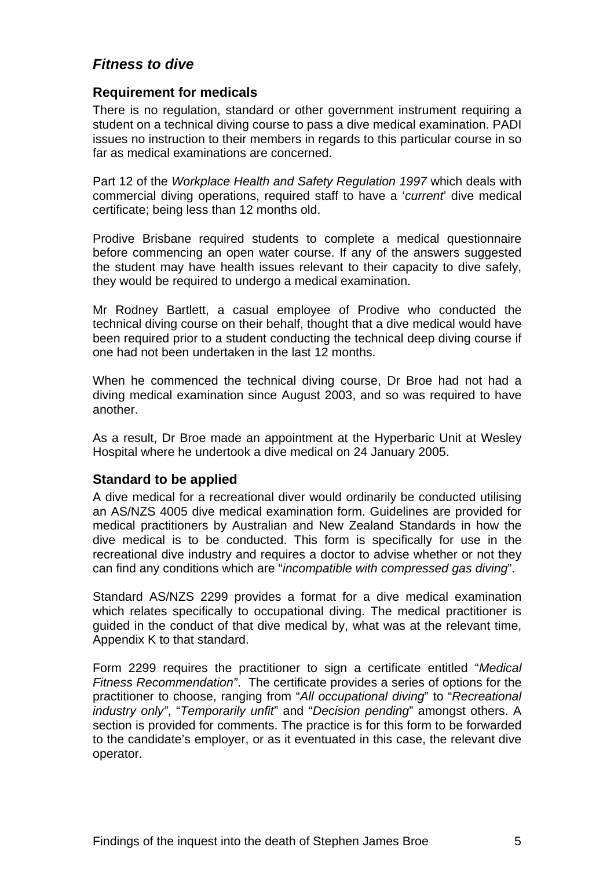# <span id="page-7-0"></span>*Fitness to dive*

#### **Requirement for medicals**

There is no regulation, standard or other government instrument requiring a student on a technical diving course to pass a dive medical examination. PADI issues no instruction to their members in regards to this particular course in so far as medical examinations are concerned.

Part 12 of the *Workplace Health and Safety Regulation 1997* which deals with commercial diving operations, required staff to have a '*current*' dive medical certificate; being less than 12 months old.

Prodive Brisbane required students to complete a medical questionnaire before commencing an open water course. If any of the answers suggested the student may have health issues relevant to their capacity to dive safely, they would be required to undergo a medical examination.

Mr Rodney Bartlett, a casual employee of Prodive who conducted the technical diving course on their behalf, thought that a dive medical would have been required prior to a student conducting the technical deep diving course if one had not been undertaken in the last 12 months.

When he commenced the technical diving course, Dr Broe had not had a diving medical examination since August 2003, and so was required to have another.

As a result, Dr Broe made an appointment at the Hyperbaric Unit at Wesley Hospital where he undertook a dive medical on 24 January 2005.

#### **Standard to be applied**

A dive medical for a recreational diver would ordinarily be conducted utilising an AS/NZS 4005 dive medical examination form. Guidelines are provided for medical practitioners by Australian and New Zealand Standards in how the dive medical is to be conducted. This form is specifically for use in the recreational dive industry and requires a doctor to advise whether or not they can find any conditions which are "*incompatible with compressed gas diving*".

Standard AS/NZS 2299 provides a format for a dive medical examination which relates specifically to occupational diving. The medical practitioner is guided in the conduct of that dive medical by, what was at the relevant time, Appendix K to that standard.

Form 2299 requires the practitioner to sign a certificate entitled "*Medical Fitness Recommendation"*. The certificate provides a series of options for the practitioner to choose, ranging from "*All occupational diving*" to "*Recreational industry only"*, "*Temporarily unfit*" and "*Decision pending*" amongst others. A section is provided for comments. The practice is for this form to be forwarded to the candidate's employer, or as it eventuated in this case, the relevant dive operator.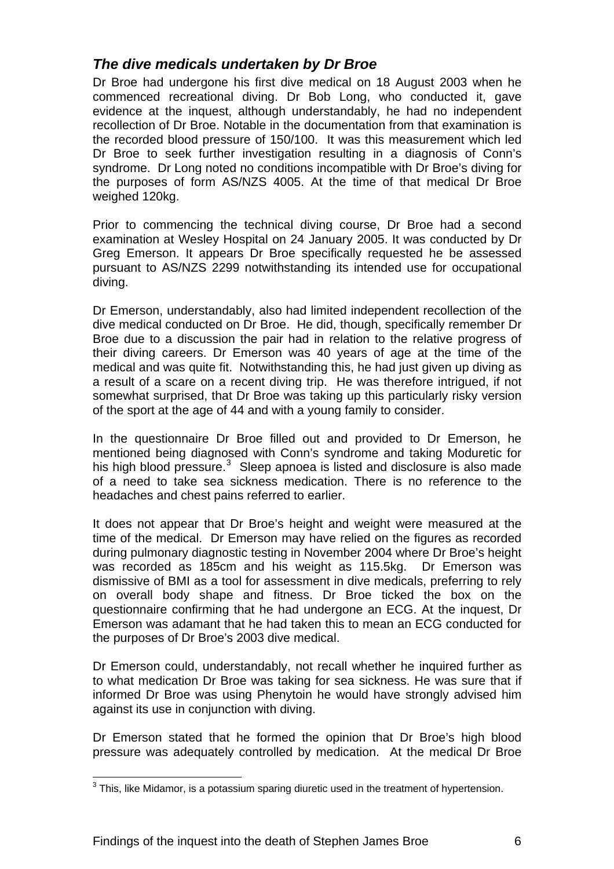# <span id="page-8-0"></span>*The dive medicals undertaken by Dr Broe*

Dr Broe had undergone his first dive medical on 18 August 2003 when he commenced recreational diving. Dr Bob Long, who conducted it, gave evidence at the inquest, although understandably, he had no independent recollection of Dr Broe. Notable in the documentation from that examination is the recorded blood pressure of 150/100. It was this measurement which led Dr Broe to seek further investigation resulting in a diagnosis of Conn's syndrome. Dr Long noted no conditions incompatible with Dr Broe's diving for the purposes of form AS/NZS 4005. At the time of that medical Dr Broe weighed 120kg.

Prior to commencing the technical diving course, Dr Broe had a second examination at Wesley Hospital on 24 January 2005. It was conducted by Dr Greg Emerson. It appears Dr Broe specifically requested he be assessed pursuant to AS/NZS 2299 notwithstanding its intended use for occupational diving.

Dr Emerson, understandably, also had limited independent recollection of the dive medical conducted on Dr Broe. He did, though, specifically remember Dr Broe due to a discussion the pair had in relation to the relative progress of their diving careers. Dr Emerson was 40 years of age at the time of the medical and was quite fit. Notwithstanding this, he had just given up diving as a result of a scare on a recent diving trip. He was therefore intrigued, if not somewhat surprised, that Dr Broe was taking up this particularly risky version of the sport at the age of 44 and with a young family to consider.

In the questionnaire Dr Broe filled out and provided to Dr Emerson, he mentioned being diagnosed with Conn's syndrome and taking Moduretic for his high blood pressure.<sup>[3](#page-8-1)</sup> Sleep apnoea is listed and disclosure is also made of a need to take sea sickness medication. There is no reference to the headaches and chest pains referred to earlier.

It does not appear that Dr Broe's height and weight were measured at the time of the medical. Dr Emerson may have relied on the figures as recorded during pulmonary diagnostic testing in November 2004 where Dr Broe's height was recorded as 185cm and his weight as 115.5kg. Dr Emerson was dismissive of BMI as a tool for assessment in dive medicals, preferring to rely on overall body shape and fitness. Dr Broe ticked the box on the questionnaire confirming that he had undergone an ECG. At the inquest, Dr Emerson was adamant that he had taken this to mean an ECG conducted for the purposes of Dr Broe's 2003 dive medical.

Dr Emerson could, understandably, not recall whether he inquired further as to what medication Dr Broe was taking for sea sickness. He was sure that if informed Dr Broe was using Phenytoin he would have strongly advised him against its use in conjunction with diving.

Dr Emerson stated that he formed the opinion that Dr Broe's high blood pressure was adequately controlled by medication. At the medical Dr Broe

l

<span id="page-8-1"></span> $3$  This, like Midamor, is a potassium sparing diuretic used in the treatment of hypertension.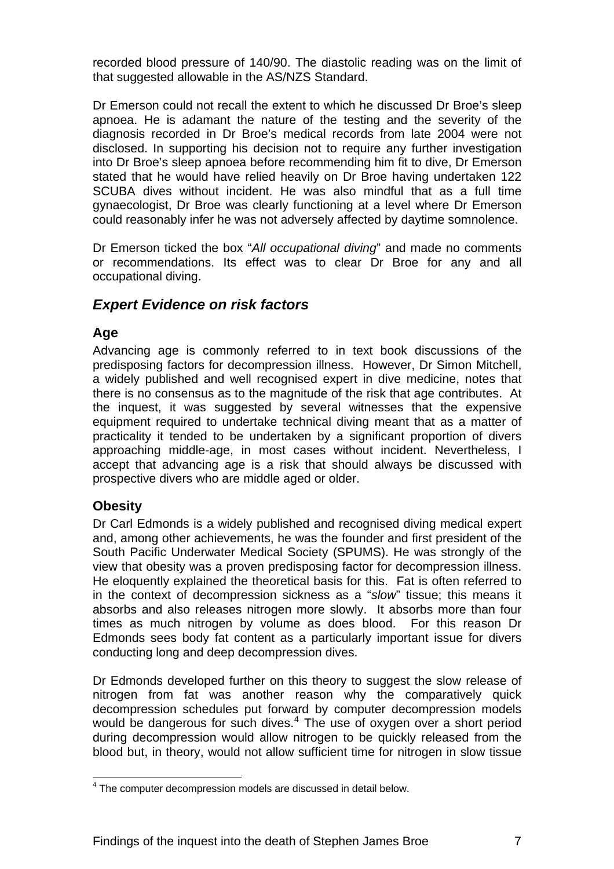<span id="page-9-0"></span>recorded blood pressure of 140/90. The diastolic reading was on the limit of that suggested allowable in the AS/NZS Standard.

Dr Emerson could not recall the extent to which he discussed Dr Broe's sleep apnoea. He is adamant the nature of the testing and the severity of the diagnosis recorded in Dr Broe's medical records from late 2004 were not disclosed. In supporting his decision not to require any further investigation into Dr Broe's sleep apnoea before recommending him fit to dive, Dr Emerson stated that he would have relied heavily on Dr Broe having undertaken 122 SCUBA dives without incident. He was also mindful that as a full time gynaecologist, Dr Broe was clearly functioning at a level where Dr Emerson could reasonably infer he was not adversely affected by daytime somnolence.

Dr Emerson ticked the box "*All occupational diving*" and made no comments or recommendations. Its effect was to clear Dr Broe for any and all occupational diving.

# *Expert Evidence on risk factors*

# **Age**

Advancing age is commonly referred to in text book discussions of the predisposing factors for decompression illness. However, Dr Simon Mitchell, a widely published and well recognised expert in dive medicine, notes that there is no consensus as to the magnitude of the risk that age contributes. At the inquest, it was suggested by several witnesses that the expensive equipment required to undertake technical diving meant that as a matter of practicality it tended to be undertaken by a significant proportion of divers approaching middle-age, in most cases without incident. Nevertheless, I accept that advancing age is a risk that should always be discussed with prospective divers who are middle aged or older.

# **Obesity**

Dr Carl Edmonds is a widely published and recognised diving medical expert and, among other achievements, he was the founder and first president of the South Pacific Underwater Medical Society (SPUMS). He was strongly of the view that obesity was a proven predisposing factor for decompression illness. He eloquently explained the theoretical basis for this. Fat is often referred to in the context of decompression sickness as a "*slow*" tissue; this means it absorbs and also releases nitrogen more slowly. It absorbs more than four times as much nitrogen by volume as does blood. For this reason Dr Edmonds sees body fat content as a particularly important issue for divers conducting long and deep decompression dives.

Dr Edmonds developed further on this theory to suggest the slow release of nitrogen from fat was another reason why the comparatively quick decompression schedules put forward by computer decompression models would be dangerous for such dives.<sup>[4](#page-9-1)</sup> The use of oxygen over a short period during decompression would allow nitrogen to be quickly released from the blood but, in theory, would not allow sufficient time for nitrogen in slow tissue

<span id="page-9-1"></span> 4 The computer decompression models are discussed in detail below.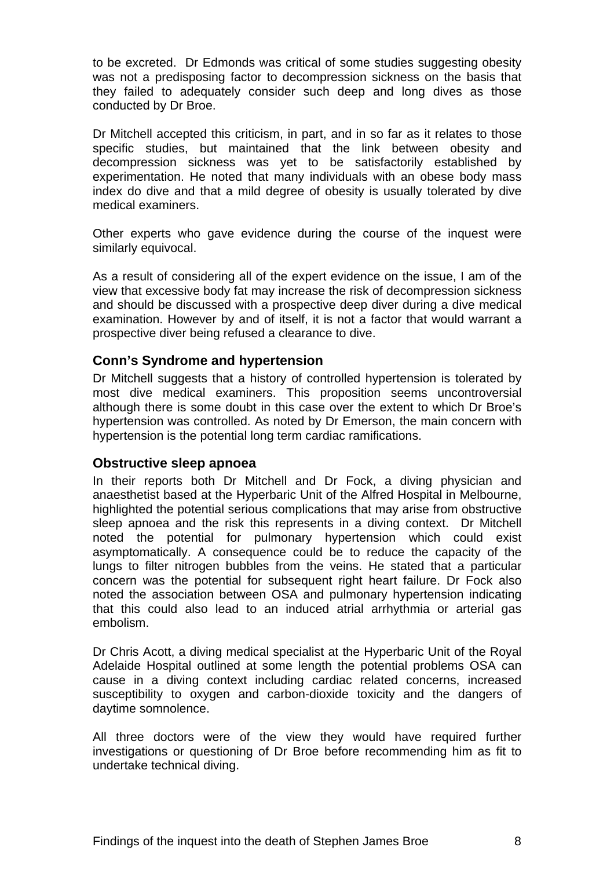<span id="page-10-0"></span>to be excreted. Dr Edmonds was critical of some studies suggesting obesity was not a predisposing factor to decompression sickness on the basis that they failed to adequately consider such deep and long dives as those conducted by Dr Broe.

Dr Mitchell accepted this criticism, in part, and in so far as it relates to those specific studies, but maintained that the link between obesity and decompression sickness was yet to be satisfactorily established by experimentation. He noted that many individuals with an obese body mass index do dive and that a mild degree of obesity is usually tolerated by dive medical examiners.

Other experts who gave evidence during the course of the inquest were similarly equivocal.

As a result of considering all of the expert evidence on the issue, I am of the view that excessive body fat may increase the risk of decompression sickness and should be discussed with a prospective deep diver during a dive medical examination. However by and of itself, it is not a factor that would warrant a prospective diver being refused a clearance to dive.

#### **Conn's Syndrome and hypertension**

Dr Mitchell suggests that a history of controlled hypertension is tolerated by most dive medical examiners. This proposition seems uncontroversial although there is some doubt in this case over the extent to which Dr Broe's hypertension was controlled. As noted by Dr Emerson, the main concern with hypertension is the potential long term cardiac ramifications.

#### **Obstructive sleep apnoea**

In their reports both Dr Mitchell and Dr Fock, a diving physician and anaesthetist based at the Hyperbaric Unit of the Alfred Hospital in Melbourne, highlighted the potential serious complications that may arise from obstructive sleep apnoea and the risk this represents in a diving context. Dr Mitchell noted the potential for pulmonary hypertension which could exist asymptomatically. A consequence could be to reduce the capacity of the lungs to filter nitrogen bubbles from the veins. He stated that a particular concern was the potential for subsequent right heart failure. Dr Fock also noted the association between OSA and pulmonary hypertension indicating that this could also lead to an induced atrial arrhythmia or arterial gas embolism.

Dr Chris Acott, a diving medical specialist at the Hyperbaric Unit of the Royal Adelaide Hospital outlined at some length the potential problems OSA can cause in a diving context including cardiac related concerns, increased susceptibility to oxygen and carbon-dioxide toxicity and the dangers of daytime somnolence.

All three doctors were of the view they would have required further investigations or questioning of Dr Broe before recommending him as fit to undertake technical diving.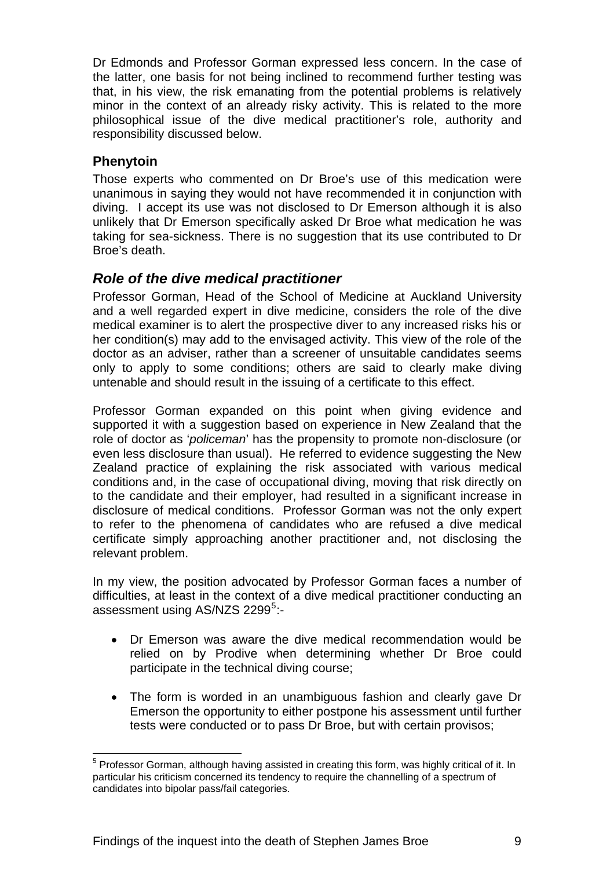<span id="page-11-0"></span>Dr Edmonds and Professor Gorman expressed less concern. In the case of the latter, one basis for not being inclined to recommend further testing was that, in his view, the risk emanating from the potential problems is relatively minor in the context of an already risky activity. This is related to the more philosophical issue of the dive medical practitioner's role, authority and responsibility discussed below.

# **Phenytoin**

Those experts who commented on Dr Broe's use of this medication were unanimous in saying they would not have recommended it in conjunction with diving. I accept its use was not disclosed to Dr Emerson although it is also unlikely that Dr Emerson specifically asked Dr Broe what medication he was taking for sea-sickness. There is no suggestion that its use contributed to Dr Broe's death.

# *Role of the dive medical practitioner*

Professor Gorman, Head of the School of Medicine at Auckland University and a well regarded expert in dive medicine, considers the role of the dive medical examiner is to alert the prospective diver to any increased risks his or her condition(s) may add to the envisaged activity. This view of the role of the doctor as an adviser, rather than a screener of unsuitable candidates seems only to apply to some conditions; others are said to clearly make diving untenable and should result in the issuing of a certificate to this effect.

Professor Gorman expanded on this point when giving evidence and supported it with a suggestion based on experience in New Zealand that the role of doctor as '*policeman*' has the propensity to promote non-disclosure (or even less disclosure than usual). He referred to evidence suggesting the New Zealand practice of explaining the risk associated with various medical conditions and, in the case of occupational diving, moving that risk directly on to the candidate and their employer, had resulted in a significant increase in disclosure of medical conditions. Professor Gorman was not the only expert to refer to the phenomena of candidates who are refused a dive medical certificate simply approaching another practitioner and, not disclosing the relevant problem.

In my view, the position advocated by Professor Gorman faces a number of difficulties, at least in the context of a dive medical practitioner conducting an assessment using AS/NZS 2299<sup>[5](#page-11-1)</sup>:-

- Dr Emerson was aware the dive medical recommendation would be relied on by Prodive when determining whether Dr Broe could participate in the technical diving course;
- The form is worded in an unambiguous fashion and clearly gave Dr Emerson the opportunity to either postpone his assessment until further tests were conducted or to pass Dr Broe, but with certain provisos;

<span id="page-11-1"></span>l <sup>5</sup> Professor Gorman, although having assisted in creating this form, was highly critical of it. In particular his criticism concerned its tendency to require the channelling of a spectrum of candidates into bipolar pass/fail categories.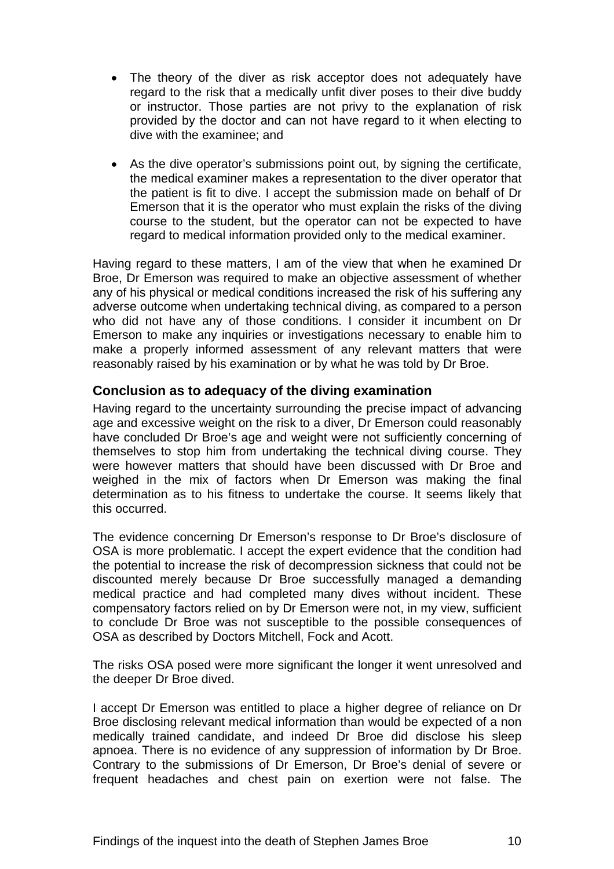- <span id="page-12-0"></span>• The theory of the diver as risk acceptor does not adequately have regard to the risk that a medically unfit diver poses to their dive buddy or instructor. Those parties are not privy to the explanation of risk provided by the doctor and can not have regard to it when electing to dive with the examinee; and
- As the dive operator's submissions point out, by signing the certificate, the medical examiner makes a representation to the diver operator that the patient is fit to dive. I accept the submission made on behalf of Dr Emerson that it is the operator who must explain the risks of the diving course to the student, but the operator can not be expected to have regard to medical information provided only to the medical examiner.

Having regard to these matters, I am of the view that when he examined Dr Broe, Dr Emerson was required to make an objective assessment of whether any of his physical or medical conditions increased the risk of his suffering any adverse outcome when undertaking technical diving, as compared to a person who did not have any of those conditions. I consider it incumbent on Dr Emerson to make any inquiries or investigations necessary to enable him to make a properly informed assessment of any relevant matters that were reasonably raised by his examination or by what he was told by Dr Broe.

#### **Conclusion as to adequacy of the diving examination**

Having regard to the uncertainty surrounding the precise impact of advancing age and excessive weight on the risk to a diver, Dr Emerson could reasonably have concluded Dr Broe's age and weight were not sufficiently concerning of themselves to stop him from undertaking the technical diving course. They were however matters that should have been discussed with Dr Broe and weighed in the mix of factors when Dr Emerson was making the final determination as to his fitness to undertake the course. It seems likely that this occurred.

The evidence concerning Dr Emerson's response to Dr Broe's disclosure of OSA is more problematic. I accept the expert evidence that the condition had the potential to increase the risk of decompression sickness that could not be discounted merely because Dr Broe successfully managed a demanding medical practice and had completed many dives without incident. These compensatory factors relied on by Dr Emerson were not, in my view, sufficient to conclude Dr Broe was not susceptible to the possible consequences of OSA as described by Doctors Mitchell, Fock and Acott.

The risks OSA posed were more significant the longer it went unresolved and the deeper Dr Broe dived.

I accept Dr Emerson was entitled to place a higher degree of reliance on Dr Broe disclosing relevant medical information than would be expected of a non medically trained candidate, and indeed Dr Broe did disclose his sleep apnoea. There is no evidence of any suppression of information by Dr Broe. Contrary to the submissions of Dr Emerson, Dr Broe's denial of severe or frequent headaches and chest pain on exertion were not false. The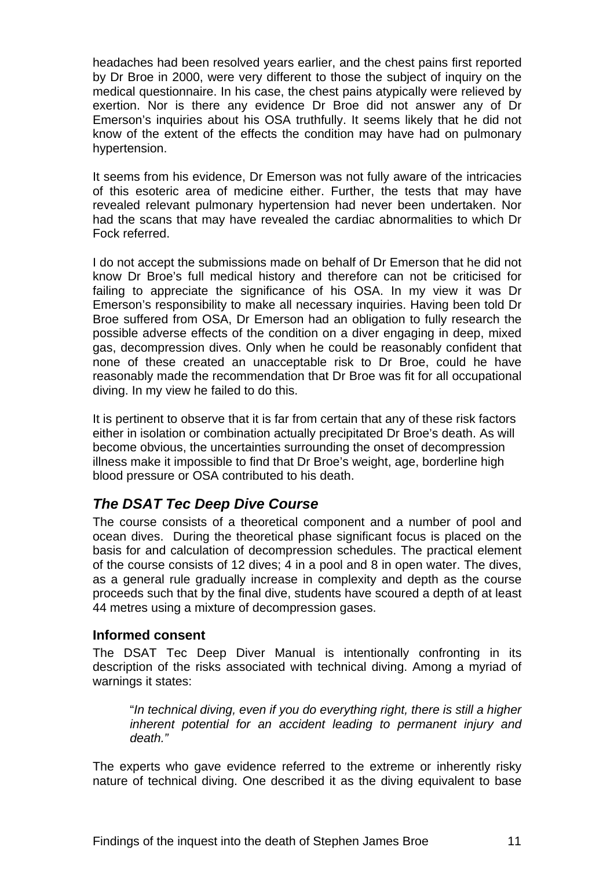<span id="page-13-0"></span>headaches had been resolved years earlier, and the chest pains first reported by Dr Broe in 2000, were very different to those the subject of inquiry on the medical questionnaire. In his case, the chest pains atypically were relieved by exertion. Nor is there any evidence Dr Broe did not answer any of Dr Emerson's inquiries about his OSA truthfully. It seems likely that he did not know of the extent of the effects the condition may have had on pulmonary hypertension.

It seems from his evidence, Dr Emerson was not fully aware of the intricacies of this esoteric area of medicine either. Further, the tests that may have revealed relevant pulmonary hypertension had never been undertaken. Nor had the scans that may have revealed the cardiac abnormalities to which Dr Fock referred.

I do not accept the submissions made on behalf of Dr Emerson that he did not know Dr Broe's full medical history and therefore can not be criticised for failing to appreciate the significance of his OSA. In my view it was Dr Emerson's responsibility to make all necessary inquiries. Having been told Dr Broe suffered from OSA, Dr Emerson had an obligation to fully research the possible adverse effects of the condition on a diver engaging in deep, mixed gas, decompression dives. Only when he could be reasonably confident that none of these created an unacceptable risk to Dr Broe, could he have reasonably made the recommendation that Dr Broe was fit for all occupational diving. In my view he failed to do this.

It is pertinent to observe that it is far from certain that any of these risk factors either in isolation or combination actually precipitated Dr Broe's death. As will become obvious, the uncertainties surrounding the onset of decompression illness make it impossible to find that Dr Broe's weight, age, borderline high blood pressure or OSA contributed to his death.

# *The DSAT Tec Deep Dive Course*

The course consists of a theoretical component and a number of pool and ocean dives. During the theoretical phase significant focus is placed on the basis for and calculation of decompression schedules. The practical element of the course consists of 12 dives; 4 in a pool and 8 in open water. The dives, as a general rule gradually increase in complexity and depth as the course proceeds such that by the final dive, students have scoured a depth of at least 44 metres using a mixture of decompression gases.

#### **Informed consent**

The DSAT Tec Deep Diver Manual is intentionally confronting in its description of the risks associated with technical diving. Among a myriad of warnings it states:

"*In technical diving, even if you do everything right, there is still a higher inherent potential for an accident leading to permanent injury and death."* 

The experts who gave evidence referred to the extreme or inherently risky nature of technical diving. One described it as the diving equivalent to base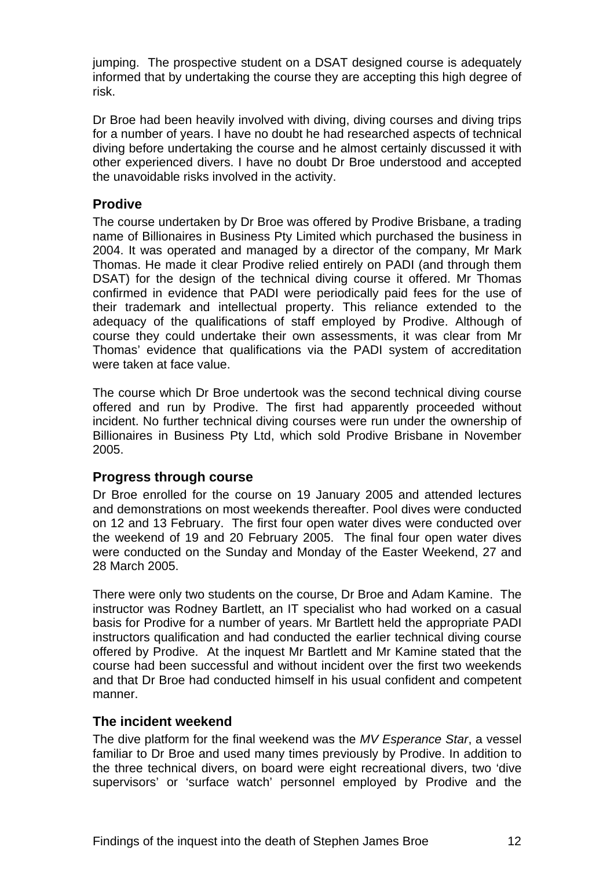<span id="page-14-0"></span>jumping. The prospective student on a DSAT designed course is adequately informed that by undertaking the course they are accepting this high degree of risk.

Dr Broe had been heavily involved with diving, diving courses and diving trips for a number of years. I have no doubt he had researched aspects of technical diving before undertaking the course and he almost certainly discussed it with other experienced divers. I have no doubt Dr Broe understood and accepted the unavoidable risks involved in the activity.

#### **Prodive**

The course undertaken by Dr Broe was offered by Prodive Brisbane, a trading name of Billionaires in Business Pty Limited which purchased the business in 2004. It was operated and managed by a director of the company, Mr Mark Thomas. He made it clear Prodive relied entirely on PADI (and through them DSAT) for the design of the technical diving course it offered. Mr Thomas confirmed in evidence that PADI were periodically paid fees for the use of their trademark and intellectual property. This reliance extended to the adequacy of the qualifications of staff employed by Prodive. Although of course they could undertake their own assessments, it was clear from Mr Thomas' evidence that qualifications via the PADI system of accreditation were taken at face value.

The course which Dr Broe undertook was the second technical diving course offered and run by Prodive. The first had apparently proceeded without incident. No further technical diving courses were run under the ownership of Billionaires in Business Pty Ltd, which sold Prodive Brisbane in November 2005.

#### **Progress through course**

Dr Broe enrolled for the course on 19 January 2005 and attended lectures and demonstrations on most weekends thereafter. Pool dives were conducted on 12 and 13 February. The first four open water dives were conducted over the weekend of 19 and 20 February 2005. The final four open water dives were conducted on the Sunday and Monday of the Easter Weekend, 27 and 28 March 2005.

There were only two students on the course, Dr Broe and Adam Kamine. The instructor was Rodney Bartlett, an IT specialist who had worked on a casual basis for Prodive for a number of years. Mr Bartlett held the appropriate PADI instructors qualification and had conducted the earlier technical diving course offered by Prodive. At the inquest Mr Bartlett and Mr Kamine stated that the course had been successful and without incident over the first two weekends and that Dr Broe had conducted himself in his usual confident and competent manner.

#### **The incident weekend**

The dive platform for the final weekend was the *MV Esperance Star*, a vessel familiar to Dr Broe and used many times previously by Prodive. In addition to the three technical divers, on board were eight recreational divers, two 'dive supervisors' or 'surface watch' personnel employed by Prodive and the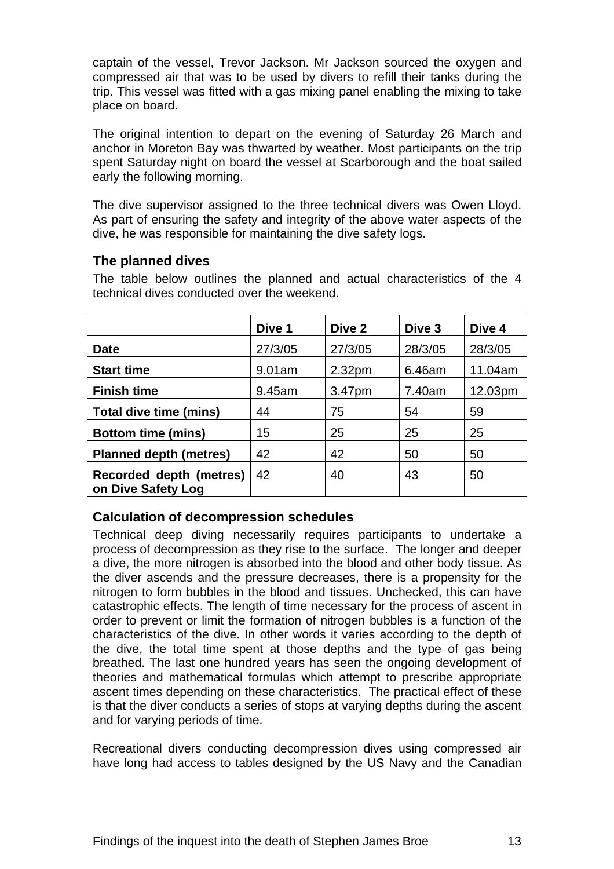<span id="page-15-0"></span>captain of the vessel, Trevor Jackson. Mr Jackson sourced the oxygen and compressed air that was to be used by divers to refill their tanks during the trip. This vessel was fitted with a gas mixing panel enabling the mixing to take place on board.

The original intention to depart on the evening of Saturday 26 March and anchor in Moreton Bay was thwarted by weather. Most participants on the trip spent Saturday night on board the vessel at Scarborough and the boat sailed early the following morning.

The dive supervisor assigned to the three technical divers was Owen Lloyd. As part of ensuring the safety and integrity of the above water aspects of the dive, he was responsible for maintaining the dive safety logs.

#### **The planned dives**

|                                               | Dive 1  | Dive 2             | Dive 3  | Dive 4  |
|-----------------------------------------------|---------|--------------------|---------|---------|
| <b>Date</b>                                   | 27/3/05 | 27/3/05            | 28/3/05 | 28/3/05 |
| <b>Start time</b>                             | 9.01am  | 2.32 <sub>pm</sub> | 6.46am  | 11.04am |
| <b>Finish time</b>                            | 9.45am  | 3.47pm             | 7.40am  | 12.03pm |
| Total dive time (mins)                        | 44      | 75                 | 54      | 59      |
| <b>Bottom time (mins)</b>                     | 15      | 25                 | 25      | 25      |
| <b>Planned depth (metres)</b>                 | 42      | 42                 | 50      | 50      |
| Recorded depth (metres)<br>on Dive Safety Log | 42      | 40                 | 43      | 50      |

The table below outlines the planned and actual characteristics of the 4 technical dives conducted over the weekend.

# **Calculation of decompression schedules**

Technical deep diving necessarily requires participants to undertake a process of decompression as they rise to the surface. The longer and deeper a dive, the more nitrogen is absorbed into the blood and other body tissue. As the diver ascends and the pressure decreases, there is a propensity for the nitrogen to form bubbles in the blood and tissues. Unchecked, this can have catastrophic effects. The length of time necessary for the process of ascent in order to prevent or limit the formation of nitrogen bubbles is a function of the characteristics of the dive. In other words it varies according to the depth of the dive, the total time spent at those depths and the type of gas being breathed. The last one hundred years has seen the ongoing development of theories and mathematical formulas which attempt to prescribe appropriate ascent times depending on these characteristics. The practical effect of these is that the diver conducts a series of stops at varying depths during the ascent and for varying periods of time.

Recreational divers conducting decompression dives using compressed air have long had access to tables designed by the US Navy and the Canadian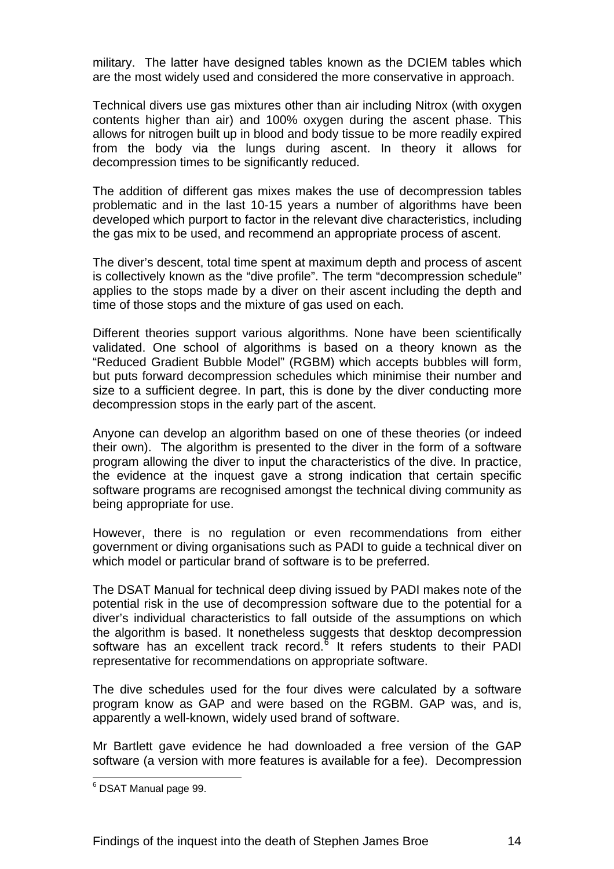military. The latter have designed tables known as the DCIEM tables which are the most widely used and considered the more conservative in approach.

Technical divers use gas mixtures other than air including Nitrox (with oxygen contents higher than air) and 100% oxygen during the ascent phase. This allows for nitrogen built up in blood and body tissue to be more readily expired from the body via the lungs during ascent. In theory it allows for decompression times to be significantly reduced.

The addition of different gas mixes makes the use of decompression tables problematic and in the last 10-15 years a number of algorithms have been developed which purport to factor in the relevant dive characteristics, including the gas mix to be used, and recommend an appropriate process of ascent.

The diver's descent, total time spent at maximum depth and process of ascent is collectively known as the "dive profile". The term "decompression schedule" applies to the stops made by a diver on their ascent including the depth and time of those stops and the mixture of gas used on each.

Different theories support various algorithms. None have been scientifically validated. One school of algorithms is based on a theory known as the "Reduced Gradient Bubble Model" (RGBM) which accepts bubbles will form, but puts forward decompression schedules which minimise their number and size to a sufficient degree. In part, this is done by the diver conducting more decompression stops in the early part of the ascent.

Anyone can develop an algorithm based on one of these theories (or indeed their own). The algorithm is presented to the diver in the form of a software program allowing the diver to input the characteristics of the dive. In practice, the evidence at the inquest gave a strong indication that certain specific software programs are recognised amongst the technical diving community as being appropriate for use.

However, there is no regulation or even recommendations from either government or diving organisations such as PADI to guide a technical diver on which model or particular brand of software is to be preferred.

The DSAT Manual for technical deep diving issued by PADI makes note of the potential risk in the use of decompression software due to the potential for a diver's individual characteristics to fall outside of the assumptions on which the algorithm is based. It nonetheless suggests that desktop decompression software has an excellent track record.<sup>8</sup> It refers students to their PADI representative for recommendations on appropriate software.

The dive schedules used for the four dives were calculated by a software program know as GAP and were based on the RGBM. GAP was, and is, apparently a well-known, widely used brand of software.

Mr Bartlett gave evidence he had downloaded a free version of the GAP software (a version with more features is available for a fee). Decompression

<span id="page-16-0"></span>endary<br><sup>6</sup> DSAT Manual page 99.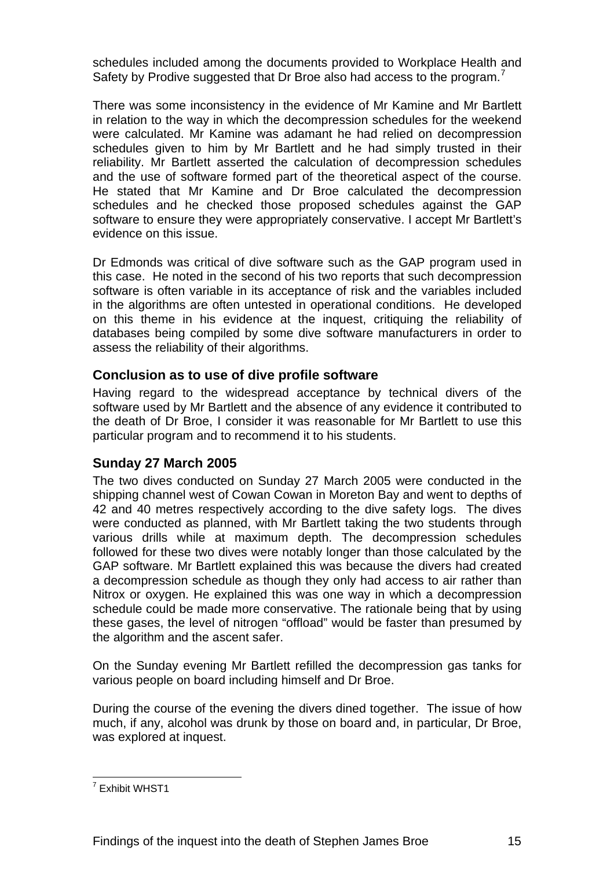<span id="page-17-0"></span>schedules included among the documents provided to Workplace Health and Safety by Prodive suggested that Dr Broe also had access to the program.<sup>[7](#page-17-1)</sup>

There was some inconsistency in the evidence of Mr Kamine and Mr Bartlett in relation to the way in which the decompression schedules for the weekend were calculated. Mr Kamine was adamant he had relied on decompression schedules given to him by Mr Bartlett and he had simply trusted in their reliability. Mr Bartlett asserted the calculation of decompression schedules and the use of software formed part of the theoretical aspect of the course. He stated that Mr Kamine and Dr Broe calculated the decompression schedules and he checked those proposed schedules against the GAP software to ensure they were appropriately conservative. I accept Mr Bartlett's evidence on this issue.

Dr Edmonds was critical of dive software such as the GAP program used in this case. He noted in the second of his two reports that such decompression software is often variable in its acceptance of risk and the variables included in the algorithms are often untested in operational conditions. He developed on this theme in his evidence at the inquest, critiquing the reliability of databases being compiled by some dive software manufacturers in order to assess the reliability of their algorithms.

### **Conclusion as to use of dive profile software**

Having regard to the widespread acceptance by technical divers of the software used by Mr Bartlett and the absence of any evidence it contributed to the death of Dr Broe, I consider it was reasonable for Mr Bartlett to use this particular program and to recommend it to his students.

#### **Sunday 27 March 2005**

The two dives conducted on Sunday 27 March 2005 were conducted in the shipping channel west of Cowan Cowan in Moreton Bay and went to depths of 42 and 40 metres respectively according to the dive safety logs. The dives were conducted as planned, with Mr Bartlett taking the two students through various drills while at maximum depth. The decompression schedules followed for these two dives were notably longer than those calculated by the GAP software. Mr Bartlett explained this was because the divers had created a decompression schedule as though they only had access to air rather than Nitrox or oxygen. He explained this was one way in which a decompression schedule could be made more conservative. The rationale being that by using these gases, the level of nitrogen "offload" would be faster than presumed by the algorithm and the ascent safer.

On the Sunday evening Mr Bartlett refilled the decompression gas tanks for various people on board including himself and Dr Broe.

During the course of the evening the divers dined together. The issue of how much, if any, alcohol was drunk by those on board and, in particular, Dr Broe, was explored at inquest.

<span id="page-17-1"></span> 7 Exhibit WHST1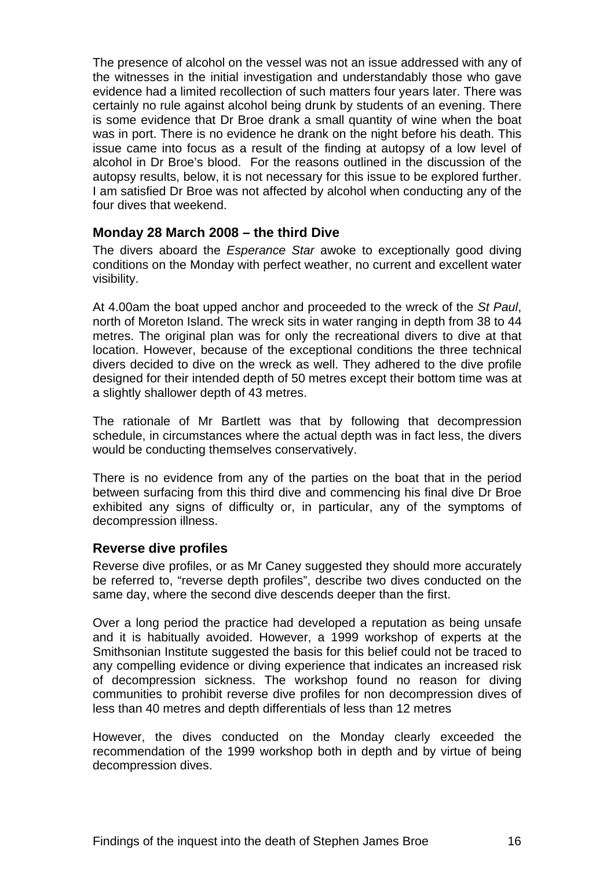<span id="page-18-0"></span>The presence of alcohol on the vessel was not an issue addressed with any of the witnesses in the initial investigation and understandably those who gave evidence had a limited recollection of such matters four years later. There was certainly no rule against alcohol being drunk by students of an evening. There is some evidence that Dr Broe drank a small quantity of wine when the boat was in port. There is no evidence he drank on the night before his death. This issue came into focus as a result of the finding at autopsy of a low level of alcohol in Dr Broe's blood. For the reasons outlined in the discussion of the autopsy results, below, it is not necessary for this issue to be explored further. I am satisfied Dr Broe was not affected by alcohol when conducting any of the four dives that weekend.

#### **Monday 28 March 2008 – the third Dive**

The divers aboard the *Esperance Star* awoke to exceptionally good diving conditions on the Monday with perfect weather, no current and excellent water visibility.

At 4.00am the boat upped anchor and proceeded to the wreck of the *St Paul*, north of Moreton Island. The wreck sits in water ranging in depth from 38 to 44 metres. The original plan was for only the recreational divers to dive at that location. However, because of the exceptional conditions the three technical divers decided to dive on the wreck as well. They adhered to the dive profile designed for their intended depth of 50 metres except their bottom time was at a slightly shallower depth of 43 metres.

The rationale of Mr Bartlett was that by following that decompression schedule, in circumstances where the actual depth was in fact less, the divers would be conducting themselves conservatively.

There is no evidence from any of the parties on the boat that in the period between surfacing from this third dive and commencing his final dive Dr Broe exhibited any signs of difficulty or, in particular, any of the symptoms of decompression illness.

#### **Reverse dive profiles**

Reverse dive profiles, or as Mr Caney suggested they should more accurately be referred to, "reverse depth profiles", describe two dives conducted on the same day, where the second dive descends deeper than the first.

Over a long period the practice had developed a reputation as being unsafe and it is habitually avoided. However, a 1999 workshop of experts at the Smithsonian Institute suggested the basis for this belief could not be traced to any compelling evidence or diving experience that indicates an increased risk of decompression sickness. The workshop found no reason for diving communities to prohibit reverse dive profiles for non decompression dives of less than 40 metres and depth differentials of less than 12 metres

However, the dives conducted on the Monday clearly exceeded the recommendation of the 1999 workshop both in depth and by virtue of being decompression dives.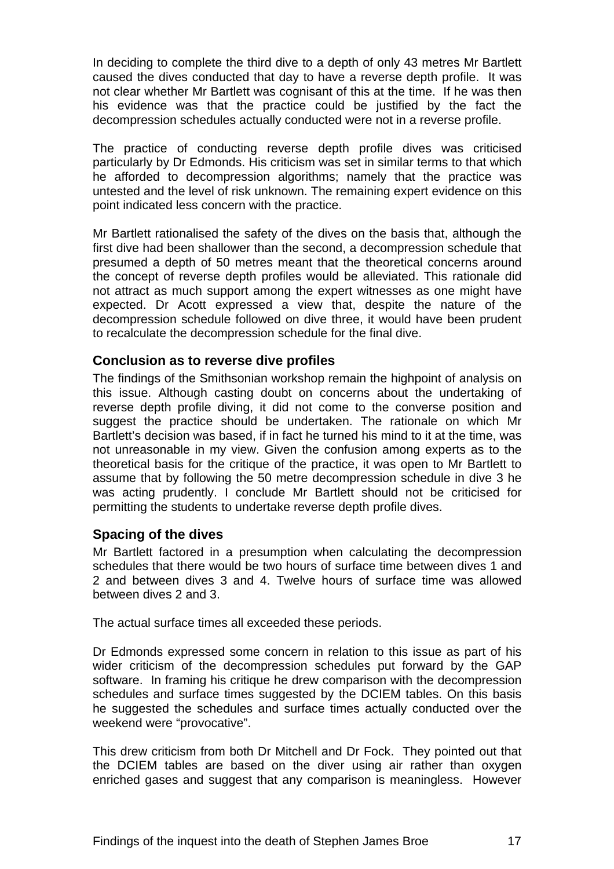<span id="page-19-0"></span>In deciding to complete the third dive to a depth of only 43 metres Mr Bartlett caused the dives conducted that day to have a reverse depth profile. It was not clear whether Mr Bartlett was cognisant of this at the time. If he was then his evidence was that the practice could be justified by the fact the decompression schedules actually conducted were not in a reverse profile.

The practice of conducting reverse depth profile dives was criticised particularly by Dr Edmonds. His criticism was set in similar terms to that which he afforded to decompression algorithms; namely that the practice was untested and the level of risk unknown. The remaining expert evidence on this point indicated less concern with the practice.

Mr Bartlett rationalised the safety of the dives on the basis that, although the first dive had been shallower than the second, a decompression schedule that presumed a depth of 50 metres meant that the theoretical concerns around the concept of reverse depth profiles would be alleviated. This rationale did not attract as much support among the expert witnesses as one might have expected. Dr Acott expressed a view that, despite the nature of the decompression schedule followed on dive three, it would have been prudent to recalculate the decompression schedule for the final dive.

#### **Conclusion as to reverse dive profiles**

The findings of the Smithsonian workshop remain the highpoint of analysis on this issue. Although casting doubt on concerns about the undertaking of reverse depth profile diving, it did not come to the converse position and suggest the practice should be undertaken. The rationale on which Mr Bartlett's decision was based, if in fact he turned his mind to it at the time, was not unreasonable in my view. Given the confusion among experts as to the theoretical basis for the critique of the practice, it was open to Mr Bartlett to assume that by following the 50 metre decompression schedule in dive 3 he was acting prudently. I conclude Mr Bartlett should not be criticised for permitting the students to undertake reverse depth profile dives.

#### **Spacing of the dives**

Mr Bartlett factored in a presumption when calculating the decompression schedules that there would be two hours of surface time between dives 1 and 2 and between dives 3 and 4. Twelve hours of surface time was allowed between dives 2 and 3.

The actual surface times all exceeded these periods.

Dr Edmonds expressed some concern in relation to this issue as part of his wider criticism of the decompression schedules put forward by the GAP software. In framing his critique he drew comparison with the decompression schedules and surface times suggested by the DCIEM tables. On this basis he suggested the schedules and surface times actually conducted over the weekend were "provocative".

This drew criticism from both Dr Mitchell and Dr Fock. They pointed out that the DCIEM tables are based on the diver using air rather than oxygen enriched gases and suggest that any comparison is meaningless. However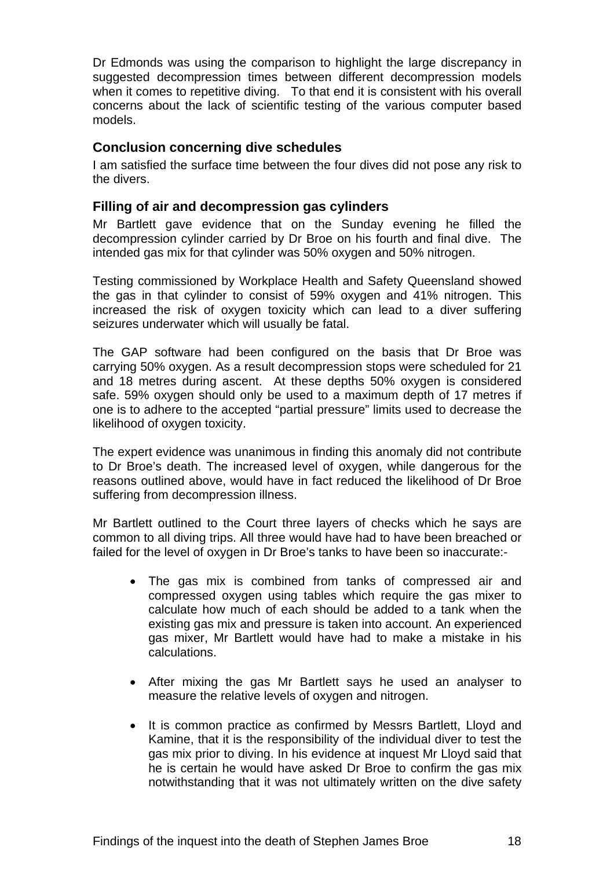<span id="page-20-0"></span>Dr Edmonds was using the comparison to highlight the large discrepancy in suggested decompression times between different decompression models when it comes to repetitive diving. To that end it is consistent with his overall concerns about the lack of scientific testing of the various computer based models.

#### **Conclusion concerning dive schedules**

I am satisfied the surface time between the four dives did not pose any risk to the divers.

#### **Filling of air and decompression gas cylinders**

Mr Bartlett gave evidence that on the Sunday evening he filled the decompression cylinder carried by Dr Broe on his fourth and final dive. The intended gas mix for that cylinder was 50% oxygen and 50% nitrogen.

Testing commissioned by Workplace Health and Safety Queensland showed the gas in that cylinder to consist of 59% oxygen and 41% nitrogen. This increased the risk of oxygen toxicity which can lead to a diver suffering seizures underwater which will usually be fatal.

The GAP software had been configured on the basis that Dr Broe was carrying 50% oxygen. As a result decompression stops were scheduled for 21 and 18 metres during ascent. At these depths 50% oxygen is considered safe. 59% oxygen should only be used to a maximum depth of 17 metres if one is to adhere to the accepted "partial pressure" limits used to decrease the likelihood of oxygen toxicity.

The expert evidence was unanimous in finding this anomaly did not contribute to Dr Broe's death. The increased level of oxygen, while dangerous for the reasons outlined above, would have in fact reduced the likelihood of Dr Broe suffering from decompression illness.

Mr Bartlett outlined to the Court three layers of checks which he says are common to all diving trips. All three would have had to have been breached or failed for the level of oxygen in Dr Broe's tanks to have been so inaccurate:-

- The gas mix is combined from tanks of compressed air and compressed oxygen using tables which require the gas mixer to calculate how much of each should be added to a tank when the existing gas mix and pressure is taken into account. An experienced gas mixer, Mr Bartlett would have had to make a mistake in his calculations.
- After mixing the gas Mr Bartlett says he used an analyser to measure the relative levels of oxygen and nitrogen.
- It is common practice as confirmed by Messrs Bartlett, Lloyd and Kamine, that it is the responsibility of the individual diver to test the gas mix prior to diving. In his evidence at inquest Mr Lloyd said that he is certain he would have asked Dr Broe to confirm the gas mix notwithstanding that it was not ultimately written on the dive safety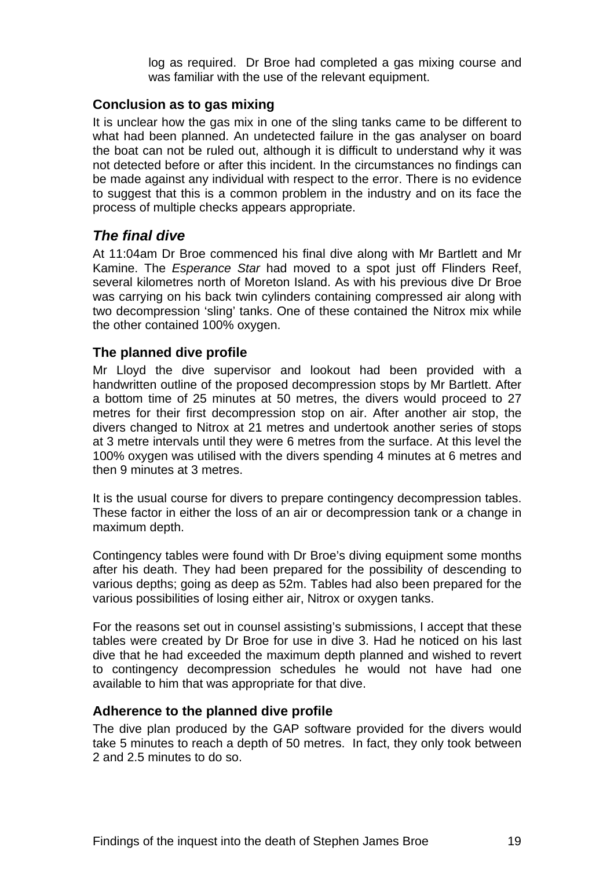log as required. Dr Broe had completed a gas mixing course and was familiar with the use of the relevant equipment.

#### <span id="page-21-0"></span>**Conclusion as to gas mixing**

It is unclear how the gas mix in one of the sling tanks came to be different to what had been planned. An undetected failure in the gas analyser on board the boat can not be ruled out, although it is difficult to understand why it was not detected before or after this incident. In the circumstances no findings can be made against any individual with respect to the error. There is no evidence to suggest that this is a common problem in the industry and on its face the process of multiple checks appears appropriate.

#### *The final dive*

At 11:04am Dr Broe commenced his final dive along with Mr Bartlett and Mr Kamine. The *Esperance Star* had moved to a spot just off Flinders Reef, several kilometres north of Moreton Island. As with his previous dive Dr Broe was carrying on his back twin cylinders containing compressed air along with two decompression 'sling' tanks. One of these contained the Nitrox mix while the other contained 100% oxygen.

#### **The planned dive profile**

Mr Lloyd the dive supervisor and lookout had been provided with a handwritten outline of the proposed decompression stops by Mr Bartlett. After a bottom time of 25 minutes at 50 metres, the divers would proceed to 27 metres for their first decompression stop on air. After another air stop, the divers changed to Nitrox at 21 metres and undertook another series of stops at 3 metre intervals until they were 6 metres from the surface. At this level the 100% oxygen was utilised with the divers spending 4 minutes at 6 metres and then 9 minutes at 3 metres.

It is the usual course for divers to prepare contingency decompression tables. These factor in either the loss of an air or decompression tank or a change in maximum depth.

Contingency tables were found with Dr Broe's diving equipment some months after his death. They had been prepared for the possibility of descending to various depths; going as deep as 52m. Tables had also been prepared for the various possibilities of losing either air, Nitrox or oxygen tanks.

For the reasons set out in counsel assisting's submissions, I accept that these tables were created by Dr Broe for use in dive 3. Had he noticed on his last dive that he had exceeded the maximum depth planned and wished to revert to contingency decompression schedules he would not have had one available to him that was appropriate for that dive.

#### **Adherence to the planned dive profile**

The dive plan produced by the GAP software provided for the divers would take 5 minutes to reach a depth of 50 metres. In fact, they only took between 2 and 2.5 minutes to do so.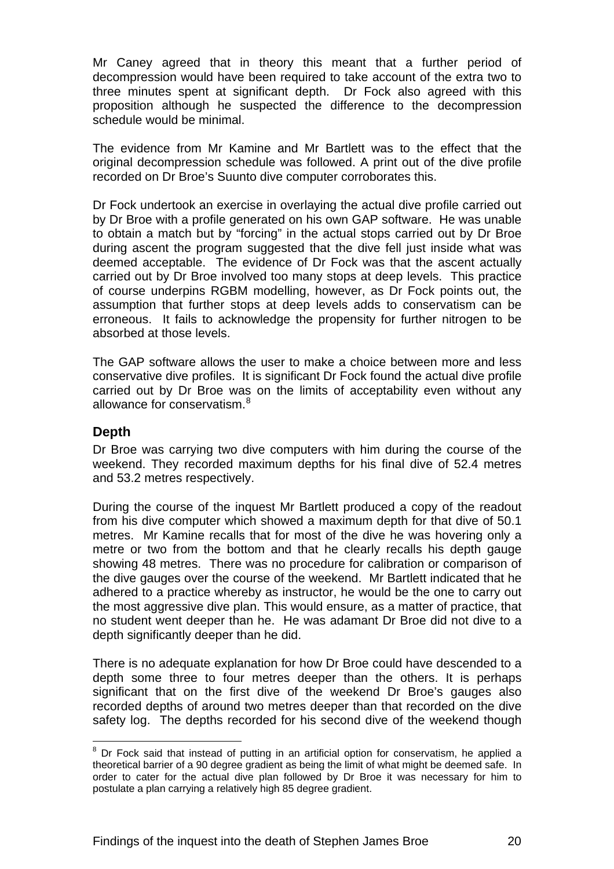<span id="page-22-0"></span>Mr Caney agreed that in theory this meant that a further period of decompression would have been required to take account of the extra two to three minutes spent at significant depth. Dr Fock also agreed with this proposition although he suspected the difference to the decompression schedule would be minimal.

The evidence from Mr Kamine and Mr Bartlett was to the effect that the original decompression schedule was followed. A print out of the dive profile recorded on Dr Broe's Suunto dive computer corroborates this.

Dr Fock undertook an exercise in overlaying the actual dive profile carried out by Dr Broe with a profile generated on his own GAP software. He was unable to obtain a match but by "forcing" in the actual stops carried out by Dr Broe during ascent the program suggested that the dive fell just inside what was deemed acceptable. The evidence of Dr Fock was that the ascent actually carried out by Dr Broe involved too many stops at deep levels. This practice of course underpins RGBM modelling, however, as Dr Fock points out, the assumption that further stops at deep levels adds to conservatism can be erroneous. It fails to acknowledge the propensity for further nitrogen to be absorbed at those levels.

The GAP software allows the user to make a choice between more and less conservative dive profiles. It is significant Dr Fock found the actual dive profile carried out by Dr Broe was on the limits of acceptability even without any allowance for conservatism.<sup>[8](#page-22-1)</sup>

#### **Depth**

Dr Broe was carrying two dive computers with him during the course of the weekend. They recorded maximum depths for his final dive of 52.4 metres and 53.2 metres respectively.

During the course of the inquest Mr Bartlett produced a copy of the readout from his dive computer which showed a maximum depth for that dive of 50.1 metres. Mr Kamine recalls that for most of the dive he was hovering only a metre or two from the bottom and that he clearly recalls his depth gauge showing 48 metres. There was no procedure for calibration or comparison of the dive gauges over the course of the weekend. Mr Bartlett indicated that he adhered to a practice whereby as instructor, he would be the one to carry out the most aggressive dive plan. This would ensure, as a matter of practice, that no student went deeper than he. He was adamant Dr Broe did not dive to a depth significantly deeper than he did.

There is no adequate explanation for how Dr Broe could have descended to a depth some three to four metres deeper than the others. It is perhaps significant that on the first dive of the weekend Dr Broe's gauges also recorded depths of around two metres deeper than that recorded on the dive safety log. The depths recorded for his second dive of the weekend though

<span id="page-22-1"></span>**ENEVALLE 19 ENEX 2018**<br><sup>8</sup> Dr Fock said that instead of putting in an artificial option for conservatism, he applied a theoretical barrier of a 90 degree gradient as being the limit of what might be deemed safe. In order to cater for the actual dive plan followed by Dr Broe it was necessary for him to postulate a plan carrying a relatively high 85 degree gradient.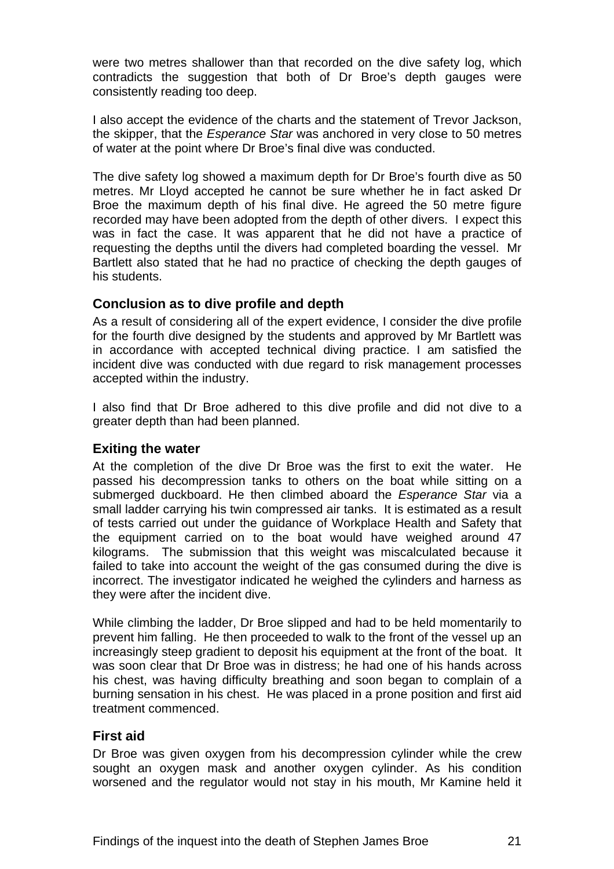<span id="page-23-0"></span>were two metres shallower than that recorded on the dive safety log, which contradicts the suggestion that both of Dr Broe's depth gauges were consistently reading too deep.

I also accept the evidence of the charts and the statement of Trevor Jackson, the skipper, that the *Esperance Star* was anchored in very close to 50 metres of water at the point where Dr Broe's final dive was conducted.

The dive safety log showed a maximum depth for Dr Broe's fourth dive as 50 metres. Mr Lloyd accepted he cannot be sure whether he in fact asked Dr Broe the maximum depth of his final dive. He agreed the 50 metre figure recorded may have been adopted from the depth of other divers. I expect this was in fact the case. It was apparent that he did not have a practice of requesting the depths until the divers had completed boarding the vessel. Mr Bartlett also stated that he had no practice of checking the depth gauges of his students.

#### **Conclusion as to dive profile and depth**

As a result of considering all of the expert evidence, I consider the dive profile for the fourth dive designed by the students and approved by Mr Bartlett was in accordance with accepted technical diving practice. I am satisfied the incident dive was conducted with due regard to risk management processes accepted within the industry.

I also find that Dr Broe adhered to this dive profile and did not dive to a greater depth than had been planned.

#### **Exiting the water**

At the completion of the dive Dr Broe was the first to exit the water. He passed his decompression tanks to others on the boat while sitting on a submerged duckboard. He then climbed aboard the *Esperance Star* via a small ladder carrying his twin compressed air tanks. It is estimated as a result of tests carried out under the guidance of Workplace Health and Safety that the equipment carried on to the boat would have weighed around 47 kilograms. The submission that this weight was miscalculated because it failed to take into account the weight of the gas consumed during the dive is incorrect. The investigator indicated he weighed the cylinders and harness as they were after the incident dive.

While climbing the ladder, Dr Broe slipped and had to be held momentarily to prevent him falling. He then proceeded to walk to the front of the vessel up an increasingly steep gradient to deposit his equipment at the front of the boat. It was soon clear that Dr Broe was in distress; he had one of his hands across his chest, was having difficulty breathing and soon began to complain of a burning sensation in his chest. He was placed in a prone position and first aid treatment commenced.

#### **First aid**

Dr Broe was given oxygen from his decompression cylinder while the crew sought an oxygen mask and another oxygen cylinder. As his condition worsened and the regulator would not stay in his mouth, Mr Kamine held it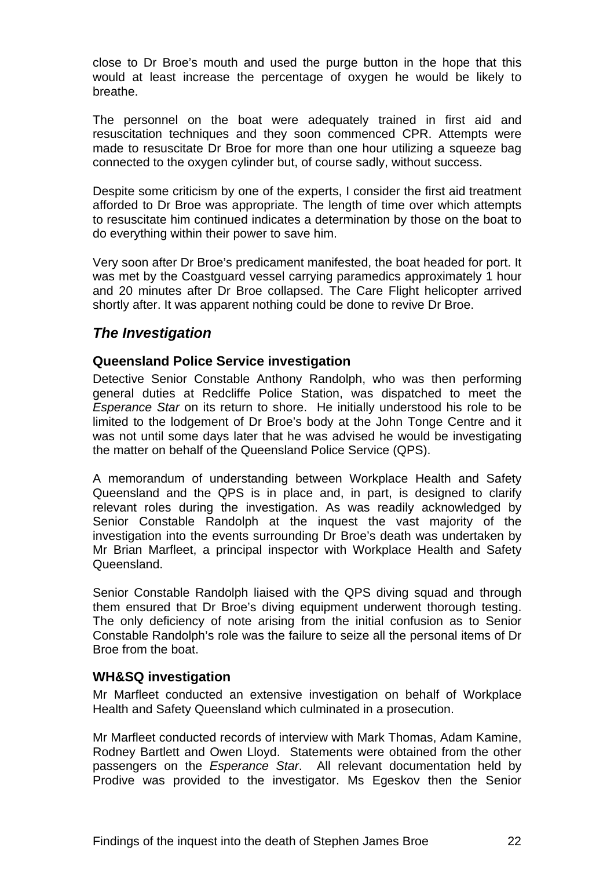<span id="page-24-0"></span>close to Dr Broe's mouth and used the purge button in the hope that this would at least increase the percentage of oxygen he would be likely to breathe.

The personnel on the boat were adequately trained in first aid and resuscitation techniques and they soon commenced CPR. Attempts were made to resuscitate Dr Broe for more than one hour utilizing a squeeze bag connected to the oxygen cylinder but, of course sadly, without success.

Despite some criticism by one of the experts, I consider the first aid treatment afforded to Dr Broe was appropriate. The length of time over which attempts to resuscitate him continued indicates a determination by those on the boat to do everything within their power to save him.

Very soon after Dr Broe's predicament manifested, the boat headed for port. It was met by the Coastguard vessel carrying paramedics approximately 1 hour and 20 minutes after Dr Broe collapsed. The Care Flight helicopter arrived shortly after. It was apparent nothing could be done to revive Dr Broe.

# *The Investigation*

### **Queensland Police Service investigation**

Detective Senior Constable Anthony Randolph, who was then performing general duties at Redcliffe Police Station, was dispatched to meet the *Esperance Star* on its return to shore. He initially understood his role to be limited to the lodgement of Dr Broe's body at the John Tonge Centre and it was not until some days later that he was advised he would be investigating the matter on behalf of the Queensland Police Service (QPS).

A memorandum of understanding between Workplace Health and Safety Queensland and the QPS is in place and, in part, is designed to clarify relevant roles during the investigation. As was readily acknowledged by Senior Constable Randolph at the inquest the vast majority of the investigation into the events surrounding Dr Broe's death was undertaken by Mr Brian Marfleet, a principal inspector with Workplace Health and Safety Queensland.

Senior Constable Randolph liaised with the QPS diving squad and through them ensured that Dr Broe's diving equipment underwent thorough testing. The only deficiency of note arising from the initial confusion as to Senior Constable Randolph's role was the failure to seize all the personal items of Dr Broe from the boat.

#### **WH&SQ investigation**

Mr Marfleet conducted an extensive investigation on behalf of Workplace Health and Safety Queensland which culminated in a prosecution.

Mr Marfleet conducted records of interview with Mark Thomas, Adam Kamine, Rodney Bartlett and Owen Lloyd. Statements were obtained from the other passengers on the *Esperance Star*. All relevant documentation held by Prodive was provided to the investigator. Ms Egeskov then the Senior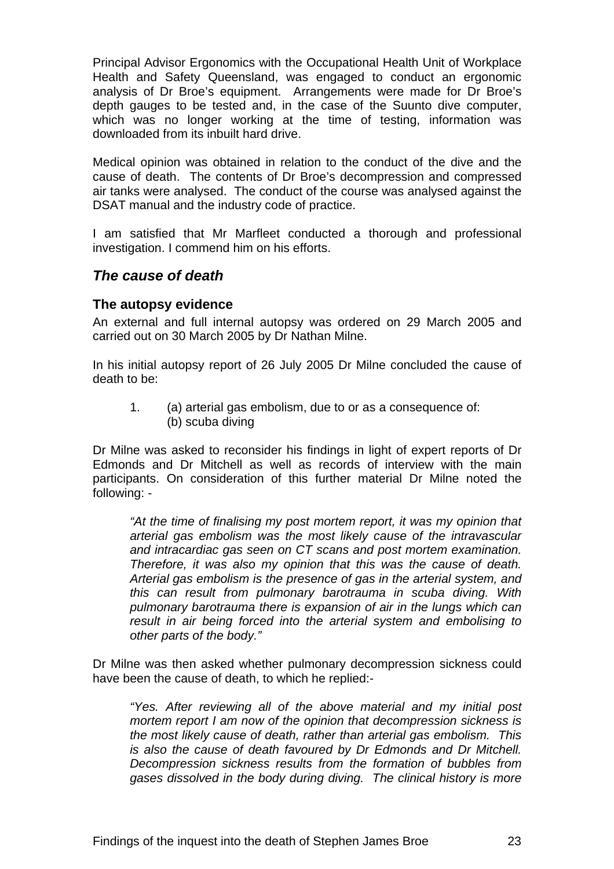<span id="page-25-0"></span>Principal Advisor Ergonomics with the Occupational Health Unit of Workplace Health and Safety Queensland, was engaged to conduct an ergonomic analysis of Dr Broe's equipment. Arrangements were made for Dr Broe's depth gauges to be tested and, in the case of the Suunto dive computer, which was no longer working at the time of testing, information was downloaded from its inbuilt hard drive.

Medical opinion was obtained in relation to the conduct of the dive and the cause of death. The contents of Dr Broe's decompression and compressed air tanks were analysed. The conduct of the course was analysed against the DSAT manual and the industry code of practice.

I am satisfied that Mr Marfleet conducted a thorough and professional investigation. I commend him on his efforts.

## *The cause of death*

#### **The autopsy evidence**

An external and full internal autopsy was ordered on 29 March 2005 and carried out on 30 March 2005 by Dr Nathan Milne.

In his initial autopsy report of 26 July 2005 Dr Milne concluded the cause of death to be:

1. (a) arterial gas embolism, due to or as a consequence of: (b) scuba diving

Dr Milne was asked to reconsider his findings in light of expert reports of Dr Edmonds and Dr Mitchell as well as records of interview with the main participants. On consideration of this further material Dr Milne noted the following: -

*"At the time of finalising my post mortem report, it was my opinion that arterial gas embolism was the most likely cause of the intravascular and intracardiac gas seen on CT scans and post mortem examination. Therefore, it was also my opinion that this was the cause of death. Arterial gas embolism is the presence of gas in the arterial system, and this can result from pulmonary barotrauma in scuba diving. With pulmonary barotrauma there is expansion of air in the lungs which can result in air being forced into the arterial system and embolising to other parts of the body."* 

Dr Milne was then asked whether pulmonary decompression sickness could have been the cause of death, to which he replied:-

*"Yes. After reviewing all of the above material and my initial post mortem report I am now of the opinion that decompression sickness is the most likely cause of death, rather than arterial gas embolism. This is also the cause of death favoured by Dr Edmonds and Dr Mitchell. Decompression sickness results from the formation of bubbles from gases dissolved in the body during diving. The clinical history is more*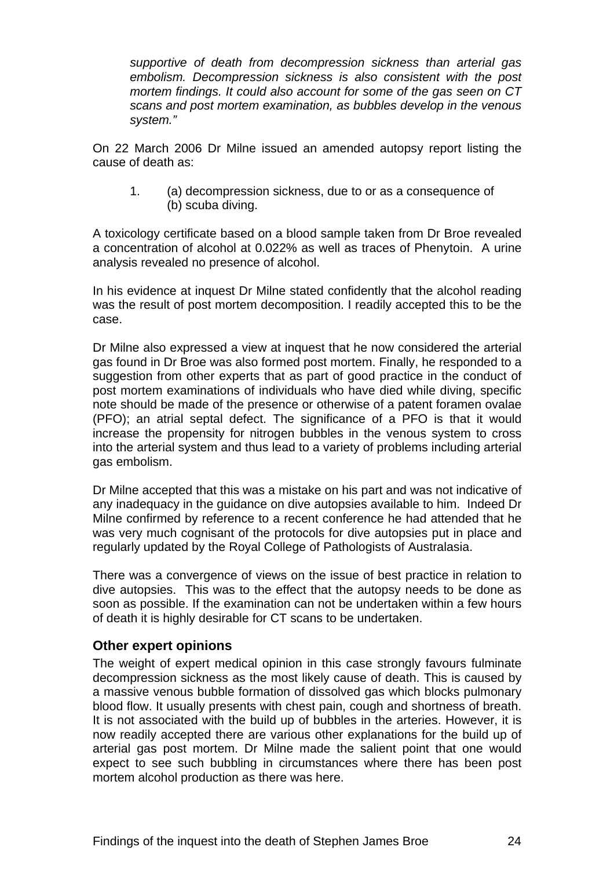<span id="page-26-0"></span>*supportive of death from decompression sickness than arterial gas embolism. Decompression sickness is also consistent with the post mortem findings. It could also account for some of the gas seen on CT scans and post mortem examination, as bubbles develop in the venous system."* 

On 22 March 2006 Dr Milne issued an amended autopsy report listing the cause of death as:

1. (a) decompression sickness, due to or as a consequence of (b) scuba diving.

A toxicology certificate based on a blood sample taken from Dr Broe revealed a concentration of alcohol at 0.022% as well as traces of Phenytoin. A urine analysis revealed no presence of alcohol.

In his evidence at inquest Dr Milne stated confidently that the alcohol reading was the result of post mortem decomposition. I readily accepted this to be the case.

Dr Milne also expressed a view at inquest that he now considered the arterial gas found in Dr Broe was also formed post mortem. Finally, he responded to a suggestion from other experts that as part of good practice in the conduct of post mortem examinations of individuals who have died while diving, specific note should be made of the presence or otherwise of a patent foramen ovalae (PFO); an atrial septal defect. The significance of a PFO is that it would increase the propensity for nitrogen bubbles in the venous system to cross into the arterial system and thus lead to a variety of problems including arterial gas embolism.

Dr Milne accepted that this was a mistake on his part and was not indicative of any inadequacy in the guidance on dive autopsies available to him. Indeed Dr Milne confirmed by reference to a recent conference he had attended that he was very much cognisant of the protocols for dive autopsies put in place and regularly updated by the Royal College of Pathologists of Australasia.

There was a convergence of views on the issue of best practice in relation to dive autopsies. This was to the effect that the autopsy needs to be done as soon as possible. If the examination can not be undertaken within a few hours of death it is highly desirable for CT scans to be undertaken.

#### **Other expert opinions**

The weight of expert medical opinion in this case strongly favours fulminate decompression sickness as the most likely cause of death. This is caused by a massive venous bubble formation of dissolved gas which blocks pulmonary blood flow. It usually presents with chest pain, cough and shortness of breath. It is not associated with the build up of bubbles in the arteries. However, it is now readily accepted there are various other explanations for the build up of arterial gas post mortem. Dr Milne made the salient point that one would expect to see such bubbling in circumstances where there has been post mortem alcohol production as there was here.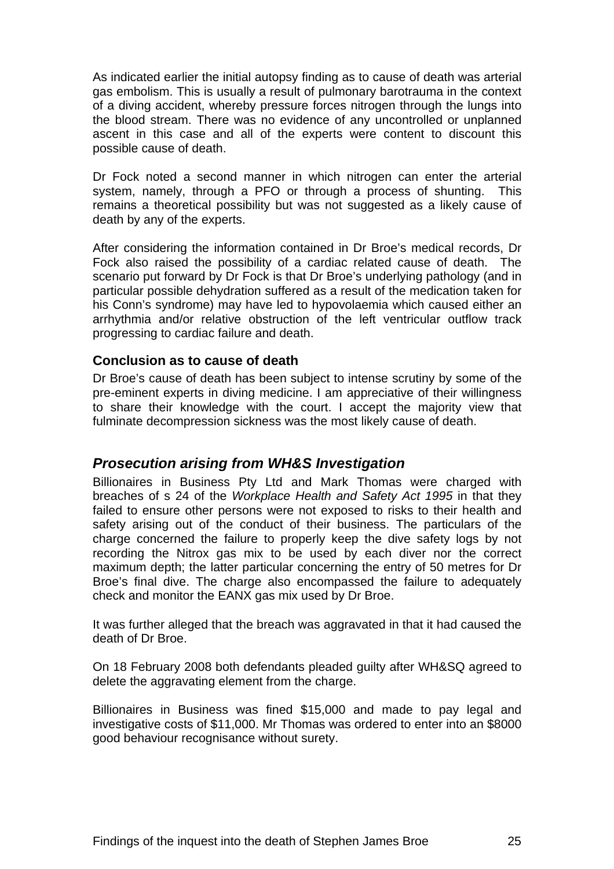<span id="page-27-0"></span>As indicated earlier the initial autopsy finding as to cause of death was arterial gas embolism. This is usually a result of pulmonary barotrauma in the context of a diving accident, whereby pressure forces nitrogen through the lungs into the blood stream. There was no evidence of any uncontrolled or unplanned ascent in this case and all of the experts were content to discount this possible cause of death.

Dr Fock noted a second manner in which nitrogen can enter the arterial system, namely, through a PFO or through a process of shunting. This remains a theoretical possibility but was not suggested as a likely cause of death by any of the experts.

After considering the information contained in Dr Broe's medical records, Dr Fock also raised the possibility of a cardiac related cause of death. The scenario put forward by Dr Fock is that Dr Broe's underlying pathology (and in particular possible dehydration suffered as a result of the medication taken for his Conn's syndrome) may have led to hypovolaemia which caused either an arrhythmia and/or relative obstruction of the left ventricular outflow track progressing to cardiac failure and death.

#### **Conclusion as to cause of death**

Dr Broe's cause of death has been subject to intense scrutiny by some of the pre-eminent experts in diving medicine. I am appreciative of their willingness to share their knowledge with the court. I accept the majority view that fulminate decompression sickness was the most likely cause of death.

# *Prosecution arising from WH&S Investigation*

Billionaires in Business Pty Ltd and Mark Thomas were charged with breaches of s 24 of the *Workplace Health and Safety Act 1995* in that they failed to ensure other persons were not exposed to risks to their health and safety arising out of the conduct of their business. The particulars of the charge concerned the failure to properly keep the dive safety logs by not recording the Nitrox gas mix to be used by each diver nor the correct maximum depth; the latter particular concerning the entry of 50 metres for Dr Broe's final dive. The charge also encompassed the failure to adequately check and monitor the EANX gas mix used by Dr Broe.

It was further alleged that the breach was aggravated in that it had caused the death of Dr Broe.

On 18 February 2008 both defendants pleaded guilty after WH&SQ agreed to delete the aggravating element from the charge.

Billionaires in Business was fined \$15,000 and made to pay legal and investigative costs of \$11,000. Mr Thomas was ordered to enter into an \$8000 good behaviour recognisance without surety.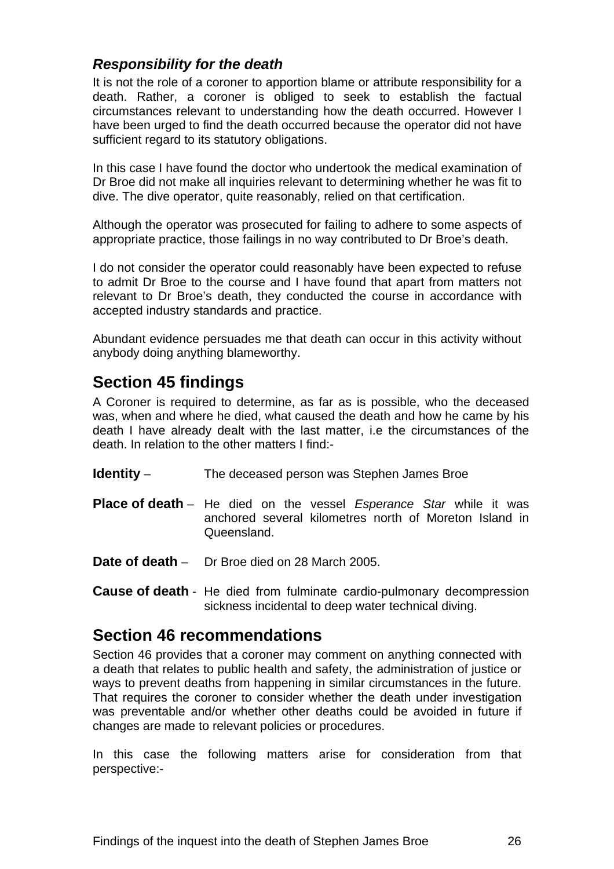# <span id="page-28-0"></span>*Responsibility for the death*

It is not the role of a coroner to apportion blame or attribute responsibility for a death. Rather, a coroner is obliged to seek to establish the factual circumstances relevant to understanding how the death occurred. However I have been urged to find the death occurred because the operator did not have sufficient regard to its statutory obligations.

In this case I have found the doctor who undertook the medical examination of Dr Broe did not make all inquiries relevant to determining whether he was fit to dive. The dive operator, quite reasonably, relied on that certification.

Although the operator was prosecuted for failing to adhere to some aspects of appropriate practice, those failings in no way contributed to Dr Broe's death.

I do not consider the operator could reasonably have been expected to refuse to admit Dr Broe to the course and I have found that apart from matters not relevant to Dr Broe's death, they conducted the course in accordance with accepted industry standards and practice.

Abundant evidence persuades me that death can occur in this activity without anybody doing anything blameworthy.

# **Section 45 findings**

A Coroner is required to determine, as far as is possible, who the deceased was, when and where he died, what caused the death and how he came by his death I have already dealt with the last matter, i.e the circumstances of the death. In relation to the other matters I find:-

- **Identity** The deceased person was Stephen James Broe
- **Place of death** He died on the vessel *Esperance Star* while it was anchored several kilometres north of Moreton Island in Queensland.
- **Date of death** Dr Broe died on 28 March 2005.
- **Cause of death** He died from fulminate cardio-pulmonary decompression sickness incidental to deep water technical diving.

# **Section 46 recommendations**

Section 46 provides that a coroner may comment on anything connected with a death that relates to public health and safety, the administration of justice or ways to prevent deaths from happening in similar circumstances in the future. That requires the coroner to consider whether the death under investigation was preventable and/or whether other deaths could be avoided in future if changes are made to relevant policies or procedures.

In this case the following matters arise for consideration from that perspective:-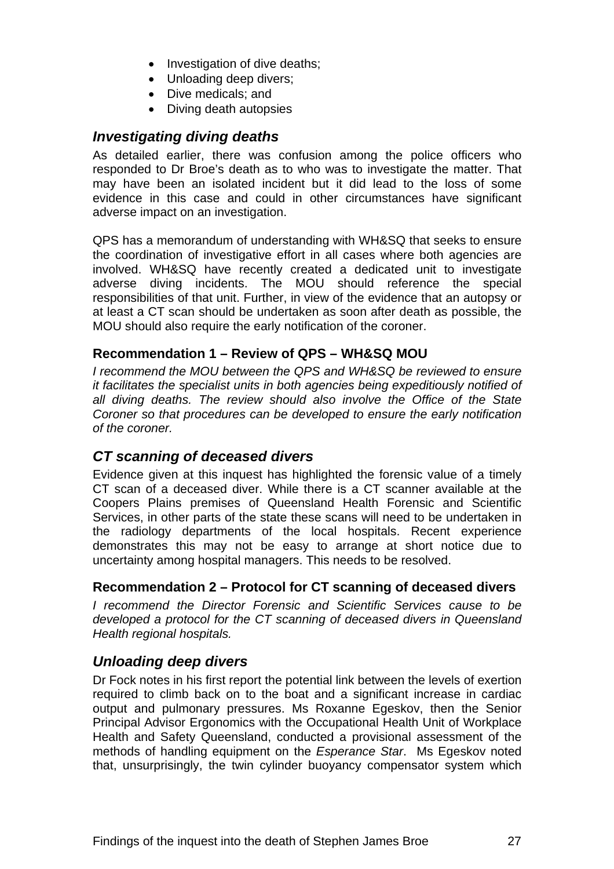- Investigation of dive deaths;
- Unloading deep divers:
- Dive medicals; and
- Diving death autopsies

# <span id="page-29-0"></span>*Investigating diving deaths*

As detailed earlier, there was confusion among the police officers who responded to Dr Broe's death as to who was to investigate the matter. That may have been an isolated incident but it did lead to the loss of some evidence in this case and could in other circumstances have significant adverse impact on an investigation.

QPS has a memorandum of understanding with WH&SQ that seeks to ensure the coordination of investigative effort in all cases where both agencies are involved. WH&SQ have recently created a dedicated unit to investigate adverse diving incidents. The MOU should reference the special responsibilities of that unit. Further, in view of the evidence that an autopsy or at least a CT scan should be undertaken as soon after death as possible, the MOU should also require the early notification of the coroner.

### **Recommendation 1 – Review of QPS – WH&SQ MOU**

*I recommend the MOU between the QPS and WH&SQ be reviewed to ensure it facilitates the specialist units in both agencies being expeditiously notified of all diving deaths. The review should also involve the Office of the State Coroner so that procedures can be developed to ensure the early notification of the coroner.* 

# *CT scanning of deceased divers*

Evidence given at this inquest has highlighted the forensic value of a timely CT scan of a deceased diver. While there is a CT scanner available at the Coopers Plains premises of Queensland Health Forensic and Scientific Services, in other parts of the state these scans will need to be undertaken in the radiology departments of the local hospitals. Recent experience demonstrates this may not be easy to arrange at short notice due to uncertainty among hospital managers. This needs to be resolved.

#### **Recommendation 2 – Protocol for CT scanning of deceased divers**

*I recommend the Director Forensic and Scientific Services cause to be developed a protocol for the CT scanning of deceased divers in Queensland Health regional hospitals.* 

# *Unloading deep divers*

Dr Fock notes in his first report the potential link between the levels of exertion required to climb back on to the boat and a significant increase in cardiac output and pulmonary pressures. Ms Roxanne Egeskov, then the Senior Principal Advisor Ergonomics with the Occupational Health Unit of Workplace Health and Safety Queensland, conducted a provisional assessment of the methods of handling equipment on the *Esperance Star*. Ms Egeskov noted that, unsurprisingly, the twin cylinder buoyancy compensator system which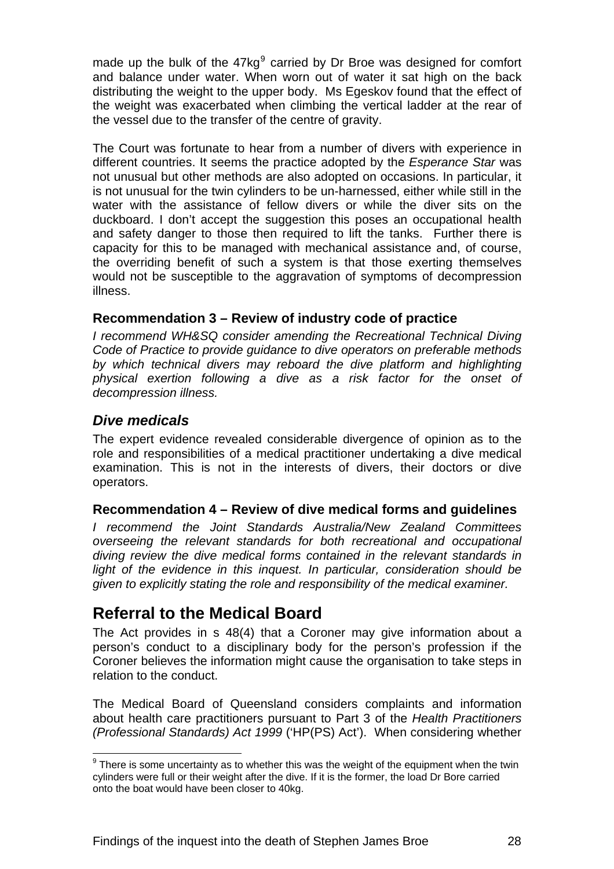<span id="page-30-0"></span>made up the bulk of the  $47\text{kg}^9$  $47\text{kg}^9$  carried by Dr Broe was designed for comfort and balance under water. When worn out of water it sat high on the back distributing the weight to the upper body. Ms Egeskov found that the effect of the weight was exacerbated when climbing the vertical ladder at the rear of the vessel due to the transfer of the centre of gravity.

The Court was fortunate to hear from a number of divers with experience in different countries. It seems the practice adopted by the *Esperance Star* was not unusual but other methods are also adopted on occasions. In particular, it is not unusual for the twin cylinders to be un-harnessed, either while still in the water with the assistance of fellow divers or while the diver sits on the duckboard. I don't accept the suggestion this poses an occupational health and safety danger to those then required to lift the tanks. Further there is capacity for this to be managed with mechanical assistance and, of course, the overriding benefit of such a system is that those exerting themselves would not be susceptible to the aggravation of symptoms of decompression illness.

### **Recommendation 3 – Review of industry code of practice**

*I recommend WH&SQ consider amending the Recreational Technical Diving Code of Practice to provide guidance to dive operators on preferable methods by which technical divers may reboard the dive platform and highlighting physical exertion following a dive as a risk factor for the onset of decompression illness.* 

# *Dive medicals*

The expert evidence revealed considerable divergence of opinion as to the role and responsibilities of a medical practitioner undertaking a dive medical examination. This is not in the interests of divers, their doctors or dive operators.

#### **Recommendation 4 – Review of dive medical forms and guidelines**

*I recommend the Joint Standards Australia/New Zealand Committees overseeing the relevant standards for both recreational and occupational diving review the dive medical forms contained in the relevant standards in*  light of the evidence in this inguest. In particular, consideration should be *given to explicitly stating the role and responsibility of the medical examiner.* 

# **Referral to the Medical Board**

The Act provides in s 48(4) that a Coroner may give information about a person's conduct to a disciplinary body for the person's profession if the Coroner believes the information might cause the organisation to take steps in relation to the conduct.

The Medical Board of Queensland considers complaints and information about health care practitioners pursuant to Part 3 of the *Health Practitioners (Professional Standards) Act 1999* ('HP(PS) Act'). When considering whether

<span id="page-30-1"></span>l  $9$  There is some uncertainty as to whether this was the weight of the equipment when the twin cylinders were full or their weight after the dive. If it is the former, the load Dr Bore carried onto the boat would have been closer to 40kg.